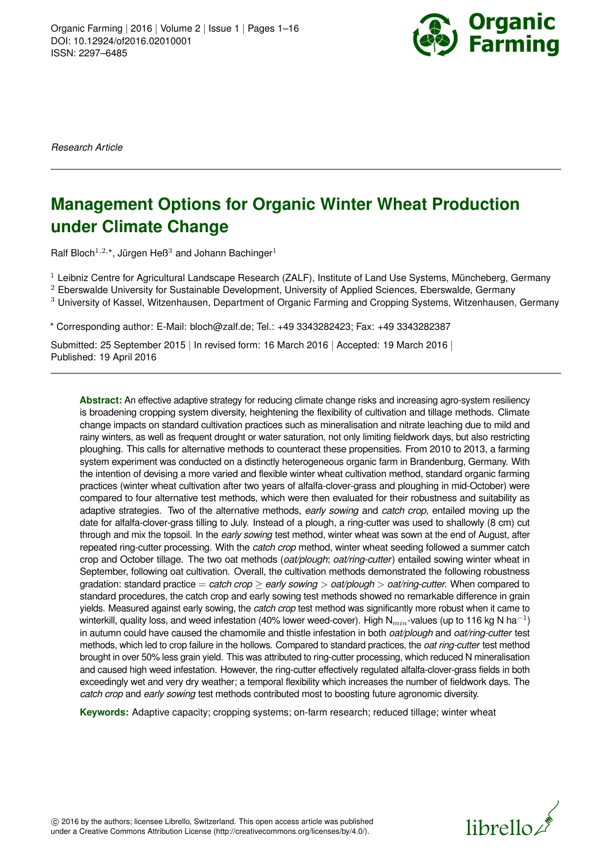

*Research Article*

# **Management Options for Organic Winter Wheat Production under Climate Change**

Ralf Bloch $^{1,2,*}$ , Jürgen Heß $^3$  and Johann Bachinger $^1$ 

 $1$  Leibniz Centre for Agricultural Landscape Research (ZALF), Institute of Land Use Systems, Müncheberg, Germany

 $2$  Eberswalde University for Sustainable Development, University of Applied Sciences, Eberswalde, Germany

<sup>3</sup> University of Kassel, Witzenhausen, Department of Organic Farming and Cropping Systems, Witzenhausen, Germany

\* Corresponding author: E-Mail: bloch@zalf.de; Tel.: +49 3343282423; Fax: +49 3343282387

Submitted: 25 September 2015 | In revised form: 16 March 2016 | Accepted: 19 March 2016 | Published: 19 April 2016

**Abstract:** An effective adaptive strategy for reducing climate change risks and increasing agro-system resiliency is broadening cropping system diversity, heightening the flexibility of cultivation and tillage methods. Climate change impacts on standard cultivation practices such as mineralisation and nitrate leaching due to mild and rainy winters, as well as frequent drought or water saturation, not only limiting fieldwork days, but also restricting ploughing. This calls for alternative methods to counteract these propensities. From 2010 to 2013, a farming system experiment was conducted on a distinctly heterogeneous organic farm in Brandenburg, Germany. With the intention of devising a more varied and flexible winter wheat cultivation method, standard organic farming practices (winter wheat cultivation after two years of alfalfa-clover-grass and ploughing in mid-October) were compared to four alternative test methods, which were then evaluated for their robustness and suitability as adaptive strategies. Two of the alternative methods, *early sowing* and *catch crop*, entailed moving up the date for alfalfa-clover-grass tilling to July. Instead of a plough, a ring-cutter was used to shallowly (8 cm) cut through and mix the topsoil. In the *early sowing* test method, winter wheat was sown at the end of August, after repeated ring-cutter processing. With the *catch crop* method, winter wheat seeding followed a summer catch crop and October tillage. The two oat methods (*oat/plough*; *oat/ring-cutter*) entailed sowing winter wheat in September, following oat cultivation. Overall, the cultivation methods demonstrated the following robustness gradation: standard practice = *catch crop* ≥ *early sowing* > *oat/plough* > *oat/ring-cutter*. When compared to standard procedures, the catch crop and early sowing test methods showed no remarkable difference in grain yields. Measured against early sowing, the *catch crop* test method was significantly more robust when it came to winterkill, quality loss, and weed infestation (40% lower weed-cover). High N $_{min}$ -values (up to 116 kg N ha $^{-1}$ ) in autumn could have caused the chamomile and thistle infestation in both *oat/plough* and *oat/ring-cutter* test methods, which led to crop failure in the hollows. Compared to standard practices, the *oat ring-cutter* test method brought in over 50% less grain yield. This was attributed to ring-cutter processing, which reduced N mineralisation and caused high weed infestation. However, the ring-cutter effectively regulated alfalfa-clover-grass fields in both exceedingly wet and very dry weather; a temporal flexibility which increases the number of fieldwork days. The *catch crop* and *early sowing* test methods contributed most to boosting future agronomic diversity.

**Keywords:** Adaptive capacity; cropping systems; on-farm research; reduced tillage; winter wheat

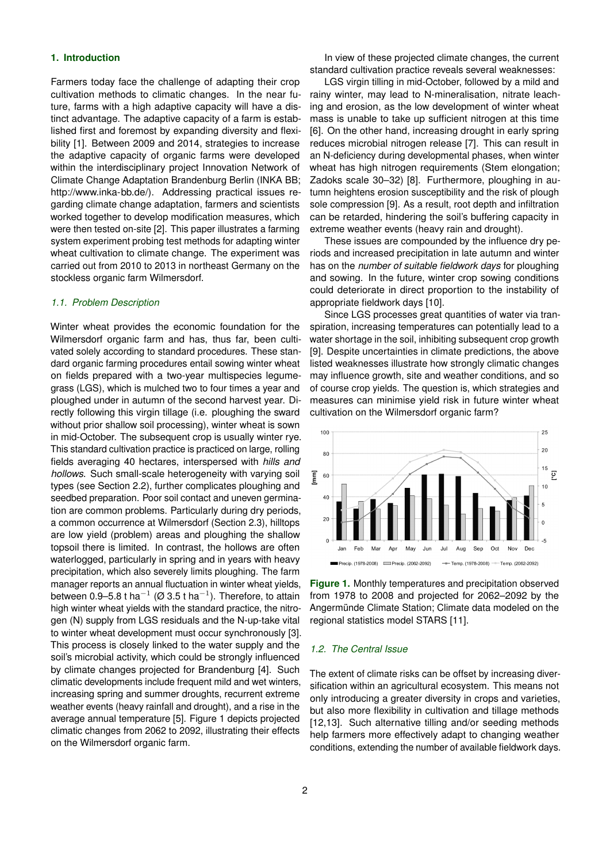#### **1. Introduction**

Farmers today face the challenge of adapting their crop cultivation methods to climatic changes. In the near future, farms with a high adaptive capacity will have a distinct advantage. The adaptive capacity of a farm is established first and foremost by expanding diversity and flexibility [\[1\]](#page-13-0). Between 2009 and 2014, strategies to increase the adaptive capacity of organic farms were developed within the interdisciplinary project Innovation Network of Climate Change Adaptation Brandenburg Berlin (INKA BB; [http://www.inka-bb.de/\)](http://www.inka-bb.de/). Addressing practical issues regarding climate change adaptation, farmers and scientists worked together to develop modification measures, which were then tested on-site [\[2\]](#page-13-1). This paper illustrates a farming system experiment probing test methods for adapting winter wheat cultivation to climate change. The experiment was carried out from 2010 to 2013 in northeast Germany on the stockless organic farm Wilmersdorf.

#### *1.1. Problem Description*

Winter wheat provides the economic foundation for the Wilmersdorf organic farm and has, thus far, been cultivated solely according to standard procedures. These standard organic farming procedures entail sowing winter wheat on fields prepared with a two-year multispecies legumegrass (LGS), which is mulched two to four times a year and ploughed under in autumn of the second harvest year. Directly following this virgin tillage (i.e. ploughing the sward without prior shallow soil processing), winter wheat is sown in mid-October. The subsequent crop is usually winter rye. This standard cultivation practice is practiced on large, rolling fields averaging 40 hectares, interspersed with *hills and hollows*. Such small-scale heterogeneity with varying soil types (see Section 2.2), further complicates ploughing and seedbed preparation. Poor soil contact and uneven germination are common problems. Particularly during dry periods, a common occurrence at Wilmersdorf (Section 2.3), hilltops are low yield (problem) areas and ploughing the shallow topsoil there is limited. In contrast, the hollows are often waterlogged, particularly in spring and in years with heavy precipitation, which also severely limits ploughing. The farm manager reports an annual fluctuation in winter wheat yields, between 0.9–5.8 t ha $^{-1}$  (Ø 3.5 t ha $^{-1}$ ). Therefore, to attain high winter wheat yields with the standard practice, the nitrogen (N) supply from LGS residuals and the N-up-take vital to winter wheat development must occur synchronously [\[3\]](#page-13-2). This process is closely linked to the water supply and the soil's microbial activity, which could be strongly influenced by climate changes projected for Brandenburg [\[4\]](#page-13-3). Such climatic developments include frequent mild and wet winters, increasing spring and summer droughts, recurrent extreme weather events (heavy rainfall and drought), and a rise in the average annual temperature [\[5\]](#page-13-4). Figure [1](#page-1-0) depicts projected climatic changes from 2062 to 2092, illustrating their effects on the Wilmersdorf organic farm.

In view of these projected climate changes, the current standard cultivation practice reveals several weaknesses:

LGS virgin tilling in mid-October, followed by a mild and rainy winter, may lead to N-mineralisation, nitrate leaching and erosion, as the low development of winter wheat mass is unable to take up sufficient nitrogen at this time [\[6\]](#page-13-5). On the other hand, increasing drought in early spring reduces microbial nitrogen release [\[7\]](#page-13-6). This can result in an N-deficiency during developmental phases, when winter wheat has high nitrogen requirements (Stem elongation; Zadoks scale 30–32) [\[8\]](#page-14-0). Furthermore, ploughing in autumn heightens erosion susceptibility and the risk of plough sole compression [\[9\]](#page-14-1). As a result, root depth and infiltration can be retarded, hindering the soil's buffering capacity in extreme weather events (heavy rain and drought).

These issues are compounded by the influence dry periods and increased precipitation in late autumn and winter has on the *number of suitable fieldwork days* for ploughing and sowing. In the future, winter crop sowing conditions could deteriorate in direct proportion to the instability of appropriate fieldwork days [\[10\]](#page-14-2).

Since LGS processes great quantities of water via transpiration, increasing temperatures can potentially lead to a water shortage in the soil, inhibiting subsequent crop growth [\[9\]](#page-14-1). Despite uncertainties in climate predictions, the above listed weaknesses illustrate how strongly climatic changes may influence growth, site and weather conditions, and so of course crop yields. The question is, which strategies and measures can minimise yield risk in future winter wheat cultivation on the Wilmersdorf organic farm?



<span id="page-1-0"></span>**Figure 1.** Monthly temperatures and precipitation observed from 1978 to 2008 and projected for 2062–2092 by the Angermünde Climate Station; Climate data modeled on the regional statistics model STARS [\[11\]](#page-14-3).

#### *1.2. The Central Issue*

The extent of climate risks can be offset by increasing diversification within an agricultural ecosystem. This means not only introducing a greater diversity in crops and varieties, but also more flexibility in cultivation and tillage methods [\[12,](#page-14-4)[13\]](#page-14-5). Such alternative tilling and/or seeding methods help farmers more effectively adapt to changing weather conditions, extending the number of available fieldwork days.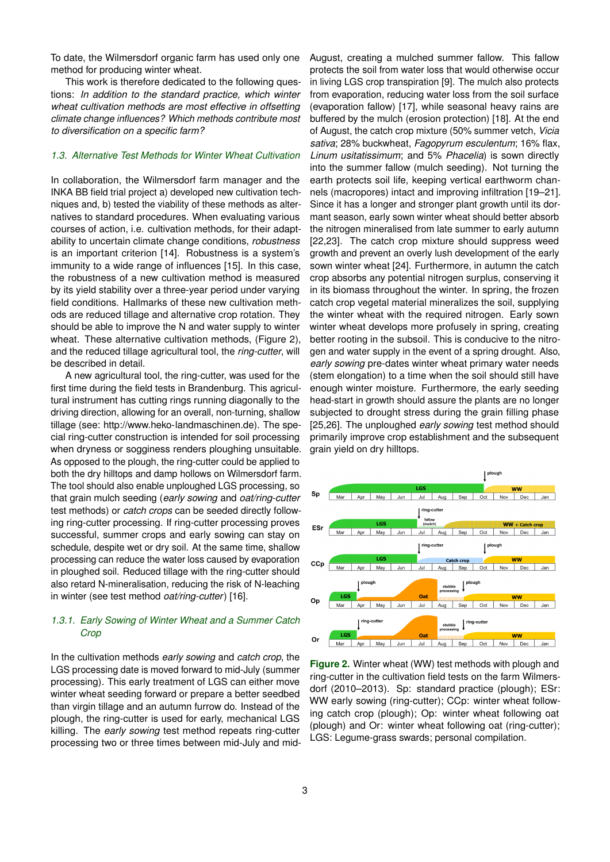To date, the Wilmersdorf organic farm has used only one method for producing winter wheat.

This work is therefore dedicated to the following questions: *In addition to the standard practice, which winter wheat cultivation methods are most effective in offsetting climate change influences? Which methods contribute most to diversification on a specific farm?*

# *1.3. Alternative Test Methods for Winter Wheat Cultivation*

In collaboration, the Wilmersdorf farm manager and the INKA BB field trial project a) developed new cultivation techniques and, b) tested the viability of these methods as alternatives to standard procedures. When evaluating various courses of action, i.e. cultivation methods, for their adaptability to uncertain climate change conditions, *robustness* is an important criterion [\[14\]](#page-14-6). Robustness is a system's immunity to a wide range of influences [\[15\]](#page-14-7). In this case, the robustness of a new cultivation method is measured by its yield stability over a three-year period under varying field conditions. Hallmarks of these new cultivation methods are reduced tillage and alternative crop rotation. They should be able to improve the N and water supply to winter wheat. These alternative cultivation methods, (Figure [2\)](#page-2-0), and the reduced tillage agricultural tool, the *ring-cutter*, will be described in detail.

A new agricultural tool, the ring-cutter, was used for the first time during the field tests in Brandenburg. This agricultural instrument has cutting rings running diagonally to the driving direction, allowing for an overall, non-turning, shallow tillage (see: [http://www.heko-landmaschinen.de\)](http://www.heko-landmaschinen.de). The special ring-cutter construction is intended for soil processing when dryness or sogginess renders ploughing unsuitable. As opposed to the plough, the ring-cutter could be applied to both the dry hilltops and damp hollows on Wilmersdorf farm. The tool should also enable unploughed LGS processing, so that grain mulch seeding (*early sowing* and *oat/ring-cutter* test methods) or *catch crops* can be seeded directly following ring-cutter processing. If ring-cutter processing proves successful, summer crops and early sowing can stay on schedule, despite wet or dry soil. At the same time, shallow processing can reduce the water loss caused by evaporation in ploughed soil. Reduced tillage with the ring-cutter should also retard N-mineralisation, reducing the risk of N-leaching in winter (see test method *oat/ring-cutter*) [\[16\]](#page-14-8).

# *1.3.1. Early Sowing of Winter Wheat and a Summer Catch Crop*

In the cultivation methods *early sowing* and *catch crop*, the LGS processing date is moved forward to mid-July (summer processing). This early treatment of LGS can either move winter wheat seeding forward or prepare a better seedbed than virgin tillage and an autumn furrow do. Instead of the plough, the ring-cutter is used for early, mechanical LGS killing. The *early sowing* test method repeats ring-cutter processing two or three times between mid-July and midAugust, creating a mulched summer fallow. This fallow protects the soil from water loss that would otherwise occur in living LGS crop transpiration [\[9\]](#page-14-1). The mulch also protects from evaporation, reducing water loss from the soil surface (evaporation fallow) [\[17\]](#page-14-9), while seasonal heavy rains are buffered by the mulch (erosion protection) [\[18\]](#page-14-10). At the end of August, the catch crop mixture (50% summer vetch, *Vicia sativa*; 28% buckwheat, *Fagopyrum esculentum*; 16% flax, *Linum usitatissimum*; and 5% *Phacelia*) is sown directly into the summer fallow (mulch seeding). Not turning the earth protects soil life, keeping vertical earthworm channels (macropores) intact and improving infiltration [\[19](#page-14-11)[–21\]](#page-14-12). Since it has a longer and stronger plant growth until its dormant season, early sown winter wheat should better absorb the nitrogen mineralised from late summer to early autumn [\[22,](#page-14-13)[23\]](#page-14-14). The catch crop mixture should suppress weed growth and prevent an overly lush development of the early sown winter wheat [\[24\]](#page-14-15). Furthermore, in autumn the catch crop absorbs any potential nitrogen surplus, conserving it in its biomass throughout the winter. In spring, the frozen catch crop vegetal material mineralizes the soil, supplying the winter wheat with the required nitrogen. Early sown winter wheat develops more profusely in spring, creating better rooting in the subsoil. This is conducive to the nitrogen and water supply in the event of a spring drought. Also, *early sowing* pre-dates winter wheat primary water needs (stem elongation) to a time when the soil should still have enough winter moisture. Furthermore, the early seeding head-start in growth should assure the plants are no longer subjected to drought stress during the grain filling phase [\[25](#page-14-16)[,26\]](#page-14-17). The unploughed *early sowing* test method should primarily improve crop establishment and the subsequent grain yield on dry hilltops.



<span id="page-2-0"></span>**Figure 2.** Winter wheat (WW) test methods with plough and ring-cutter in the cultivation field tests on the farm Wilmersdorf (2010–2013). Sp: standard practice (plough); ESr: WW early sowing (ring-cutter); CCp: winter wheat following catch crop (plough); Op: winter wheat following oat (plough) and Or: winter wheat following oat (ring-cutter); LGS: Legume-grass swards; personal compilation.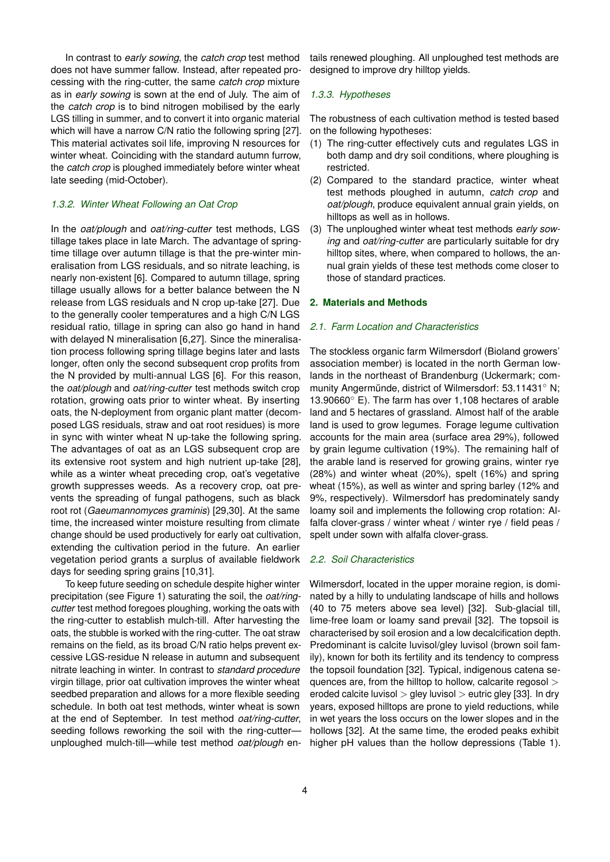In contrast to *early sowing*, the *catch crop* test method does not have summer fallow. Instead, after repeated processing with the ring-cutter, the same *catch crop* mixture as in *early sowing* is sown at the end of July. The aim of the *catch crop* is to bind nitrogen mobilised by the early LGS tilling in summer, and to convert it into organic material which will have a narrow C/N ratio the following spring [\[27\]](#page-14-18). This material activates soil life, improving N resources for winter wheat. Coinciding with the standard autumn furrow, the *catch crop* is ploughed immediately before winter wheat late seeding (mid-October).

## *1.3.2. Winter Wheat Following an Oat Crop*

In the *oat/plough* and *oat/ring-cutter* test methods, LGS tillage takes place in late March. The advantage of springtime tillage over autumn tillage is that the pre-winter mineralisation from LGS residuals, and so nitrate leaching, is nearly non-existent [\[6\]](#page-13-5). Compared to autumn tillage, spring tillage usually allows for a better balance between the N release from LGS residuals and N crop up-take [\[27\]](#page-14-18). Due to the generally cooler temperatures and a high C/N LGS residual ratio, tillage in spring can also go hand in hand with delayed N mineralisation [\[6](#page-13-5)[,27\]](#page-14-18). Since the mineralisation process following spring tillage begins later and lasts longer, often only the second subsequent crop profits from the N provided by multi-annual LGS [\[6\]](#page-13-5). For this reason, the *oat/plough* and *oat/ring-cutter* test methods switch crop rotation, growing oats prior to winter wheat. By inserting oats, the N-deployment from organic plant matter (decomposed LGS residuals, straw and oat root residues) is more in sync with winter wheat N up-take the following spring. The advantages of oat as an LGS subsequent crop are its extensive root system and high nutrient up-take [\[28\]](#page-14-19), while as a winter wheat preceding crop, oat's vegetative growth suppresses weeds. As a recovery crop, oat prevents the spreading of fungal pathogens, such as black root rot (*Gaeumannomyces graminis*) [\[29](#page-14-20)[,30\]](#page-14-21). At the same time, the increased winter moisture resulting from climate change should be used productively for early oat cultivation, extending the cultivation period in the future. An earlier vegetation period grants a surplus of available fieldwork days for seeding spring grains [\[10,](#page-14-2)[31\]](#page-14-22).

To keep future seeding on schedule despite higher winter precipitation (see Figure [1\)](#page-1-0) saturating the soil, the *oat/ringcutter* test method foregoes ploughing, working the oats with the ring-cutter to establish mulch-till. After harvesting the oats, the stubble is worked with the ring-cutter. The oat straw remains on the field, as its broad C/N ratio helps prevent excessive LGS-residue N release in autumn and subsequent nitrate leaching in winter. In contrast to *standard procedure* virgin tillage, prior oat cultivation improves the winter wheat seedbed preparation and allows for a more flexible seeding schedule. In both oat test methods, winter wheat is sown at the end of September. In test method *oat/ring-cutter*, seeding follows reworking the soil with the ring-cutterunploughed mulch-till—while test method *oat/plough* entails renewed ploughing. All unploughed test methods are designed to improve dry hilltop yields.

# *1.3.3. Hypotheses*

The robustness of each cultivation method is tested based on the following hypotheses:

- (1) The ring-cutter effectively cuts and regulates LGS in both damp and dry soil conditions, where ploughing is restricted.
- (2) Compared to the standard practice, winter wheat test methods ploughed in autumn, *catch crop* and *oat/plough*, produce equivalent annual grain yields, on hilltops as well as in hollows.
- (3) The unploughed winter wheat test methods *early sowing* and *oat/ring-cutter* are particularly suitable for dry hilltop sites, where, when compared to hollows, the annual grain yields of these test methods come closer to those of standard practices.

#### **2. Materials and Methods**

#### *2.1. Farm Location and Characteristics*

The stockless organic farm Wilmersdorf (Bioland growers' association member) is located in the north German lowlands in the northeast of Brandenburg (Uckermark; community Angermünde, district of Wilmersdorf: 53.11431° N; 13.90660◦ E). The farm has over 1,108 hectares of arable land and 5 hectares of grassland. Almost half of the arable land is used to grow legumes. Forage legume cultivation accounts for the main area (surface area 29%), followed by grain legume cultivation (19%). The remaining half of the arable land is reserved for growing grains, winter rye (28%) and winter wheat (20%), spelt (16%) and spring wheat (15%), as well as winter and spring barley (12% and 9%, respectively). Wilmersdorf has predominately sandy loamy soil and implements the following crop rotation: Alfalfa clover-grass / winter wheat / winter rye / field peas / spelt under sown with alfalfa clover-grass.

#### *2.2. Soil Characteristics*

Wilmersdorf, located in the upper moraine region, is dominated by a hilly to undulating landscape of hills and hollows (40 to 75 meters above sea level) [\[32\]](#page-14-23). Sub-glacial till, lime-free loam or loamy sand prevail [\[32\]](#page-14-23). The topsoil is characterised by soil erosion and a low decalcification depth. Predominant is calcite luvisol/gley luvisol (brown soil family), known for both its fertility and its tendency to compress the topsoil foundation [\[32\]](#page-14-23). Typical, indigenous catena sequences are, from the hilltop to hollow, calcarite regosol > eroded calcite luvisol  $>$  gley luvisol  $>$  eutric gley [\[33\]](#page-14-24). In dry years, exposed hilltops are prone to yield reductions, while in wet years the loss occurs on the lower slopes and in the hollows [\[32\]](#page-14-23). At the same time, the eroded peaks exhibit higher pH values than the hollow depressions (Table [1\)](#page-4-0).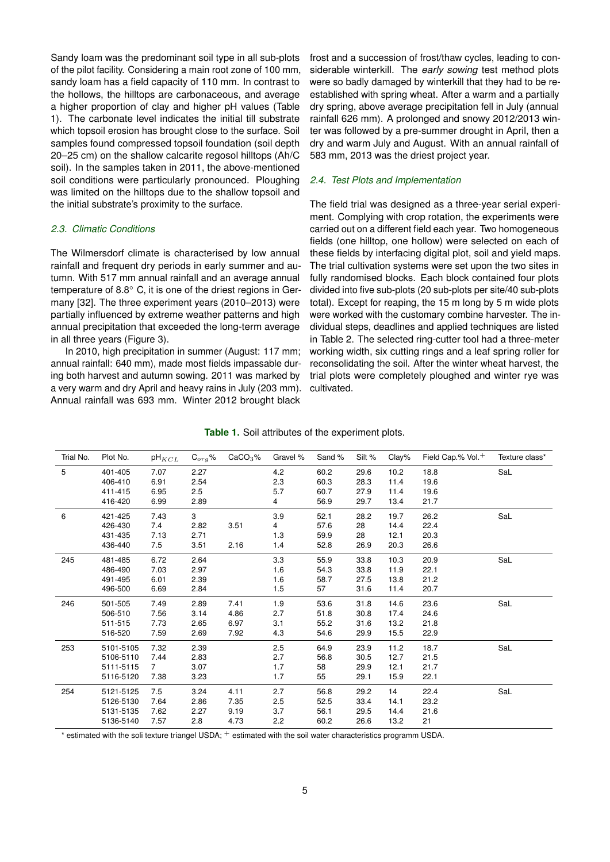Sandy loam was the predominant soil type in all sub-plots of the pilot facility. Considering a main root zone of 100 mm, sandy loam has a field capacity of 110 mm. In contrast to the hollows, the hilltops are carbonaceous, and average a higher proportion of clay and higher pH values (Table [1\)](#page-4-0). The carbonate level indicates the initial till substrate which topsoil erosion has brought close to the surface. Soil samples found compressed topsoil foundation (soil depth 20–25 cm) on the shallow calcarite regosol hilltops (Ah/C soil). In the samples taken in 2011, the above-mentioned soil conditions were particularly pronounced. Ploughing was limited on the hilltops due to the shallow topsoil and the initial substrate's proximity to the surface.

#### *2.3. Climatic Conditions*

The Wilmersdorf climate is characterised by low annual rainfall and frequent dry periods in early summer and autumn. With 517 mm annual rainfall and an average annual temperature of 8.8<sup>○</sup> C, it is one of the driest regions in Germany [\[32\]](#page-14-23). The three experiment years (2010–2013) were partially influenced by extreme weather patterns and high annual precipitation that exceeded the long-term average in all three years (Figure [3\)](#page-5-0).

In 2010, high precipitation in summer (August: 117 mm; annual rainfall: 640 mm), made most fields impassable during both harvest and autumn sowing. 2011 was marked by a very warm and dry April and heavy rains in July (203 mm). Annual rainfall was 693 mm. Winter 2012 brought black

frost and a succession of frost/thaw cycles, leading to considerable winterkill. The *early sowing* test method plots were so badly damaged by winterkill that they had to be reestablished with spring wheat. After a warm and a partially dry spring, above average precipitation fell in July (annual rainfall 626 mm). A prolonged and snowy 2012/2013 winter was followed by a pre-summer drought in April, then a dry and warm July and August. With an annual rainfall of 583 mm, 2013 was the driest project year.

#### *2.4. Test Plots and Implementation*

The field trial was designed as a three-year serial experiment. Complying with crop rotation, the experiments were carried out on a different field each year. Two homogeneous fields (one hilltop, one hollow) were selected on each of these fields by interfacing digital plot, soil and yield maps. The trial cultivation systems were set upon the two sites in fully randomised blocks. Each block contained four plots divided into five sub-plots (20 sub-plots per site/40 sub-plots total). Except for reaping, the 15 m long by 5 m wide plots were worked with the customary combine harvester. The individual steps, deadlines and applied techniques are listed in Table [2.](#page-5-1) The selected ring-cutter tool had a three-meter working width, six cutting rings and a leaf spring roller for reconsolidating the soil. After the winter wheat harvest, the trial plots were completely ploughed and winter rye was cultivated.

| Table 1. Soil attributes of the experiment plots. |
|---------------------------------------------------|
|---------------------------------------------------|

<span id="page-4-0"></span>

| Trial No. | Plot No.  | $pH_{KCL}$     | $G_{\sigma r}$ % | CaCO <sub>3</sub> % | Gravel % | Sand % | Silt % | Clay% | Field Cap.% Vol. <sup>+</sup> | Texture class* |
|-----------|-----------|----------------|------------------|---------------------|----------|--------|--------|-------|-------------------------------|----------------|
| 5         | 401-405   | 7.07           | 2.27             |                     | 4.2      | 60.2   | 29.6   | 10.2  | 18.8                          | SaL            |
|           | 406-410   | 6.91           | 2.54             |                     | 2.3      | 60.3   | 28.3   | 11.4  | 19.6                          |                |
|           | 411-415   | 6.95           | 2.5              |                     | 5.7      | 60.7   | 27.9   | 11.4  | 19.6                          |                |
|           | 416-420   | 6.99           | 2.89             |                     | 4        | 56.9   | 29.7   | 13.4  | 21.7                          |                |
| 6         | 421-425   | 7.43           | 3                |                     | 3.9      | 52.1   | 28.2   | 19.7  | 26.2                          | SaL            |
|           | 426-430   | 7.4            | 2.82             | 3.51                | 4        | 57.6   | 28     | 14.4  | 22.4                          |                |
|           | 431-435   | 7.13           | 2.71             |                     | 1.3      | 59.9   | 28     | 12.1  | 20.3                          |                |
|           | 436-440   | 7.5            | 3.51             | 2.16                | 1.4      | 52.8   | 26.9   | 20.3  | 26.6                          |                |
| 245       | 481-485   | 6.72           | 2.64             |                     | 3.3      | 55.9   | 33.8   | 10.3  | 20.9                          | SaL            |
|           | 486-490   | 7.03           | 2.97             |                     | 1.6      | 54.3   | 33.8   | 11.9  | 22.1                          |                |
|           | 491-495   | 6.01           | 2.39             |                     | 1.6      | 58.7   | 27.5   | 13.8  | 21.2                          |                |
|           | 496-500   | 6.69           | 2.84             |                     | 1.5      | 57     | 31.6   | 11.4  | 20.7                          |                |
| 246       | 501-505   | 7.49           | 2.89             | 7.41                | 1.9      | 53.6   | 31.8   | 14.6  | 23.6                          | SaL            |
|           | 506-510   | 7.56           | 3.14             | 4.86                | 2.7      | 51.8   | 30.8   | 17.4  | 24.6                          |                |
|           | 511-515   | 7.73           | 2.65             | 6.97                | 3.1      | 55.2   | 31.6   | 13.2  | 21.8                          |                |
|           | 516-520   | 7.59           | 2.69             | 7.92                | 4.3      | 54.6   | 29.9   | 15.5  | 22.9                          |                |
| 253       | 5101-5105 | 7.32           | 2.39             |                     | 2.5      | 64.9   | 23.9   | 11.2  | 18.7                          | SaL            |
|           | 5106-5110 | 7.44           | 2.83             |                     | 2.7      | 56.8   | 30.5   | 12.7  | 21.5                          |                |
|           | 5111-5115 | $\overline{7}$ | 3.07             |                     | 1.7      | 58     | 29.9   | 12.1  | 21.7                          |                |
|           | 5116-5120 | 7.38           | 3.23             |                     | 1.7      | 55     | 29.1   | 15.9  | 22.1                          |                |
| 254       | 5121-5125 | 7.5            | 3.24             | 4.11                | 2.7      | 56.8   | 29.2   | 14    | 22.4                          | SaL            |
|           | 5126-5130 | 7.64           | 2.86             | 7.35                | 2.5      | 52.5   | 33.4   | 14.1  | 23.2                          |                |
|           | 5131-5135 | 7.62           | 2.27             | 9.19                | 3.7      | 56.1   | 29.5   | 14.4  | 21.6                          |                |
|           | 5136-5140 | 7.57           | 2.8              | 4.73                | 2.2      | 60.2   | 26.6   | 13.2  | 21                            |                |

\* estimated with the soli texture triangel USDA;  $^+$  estimated with the soil water characteristics programm USDA.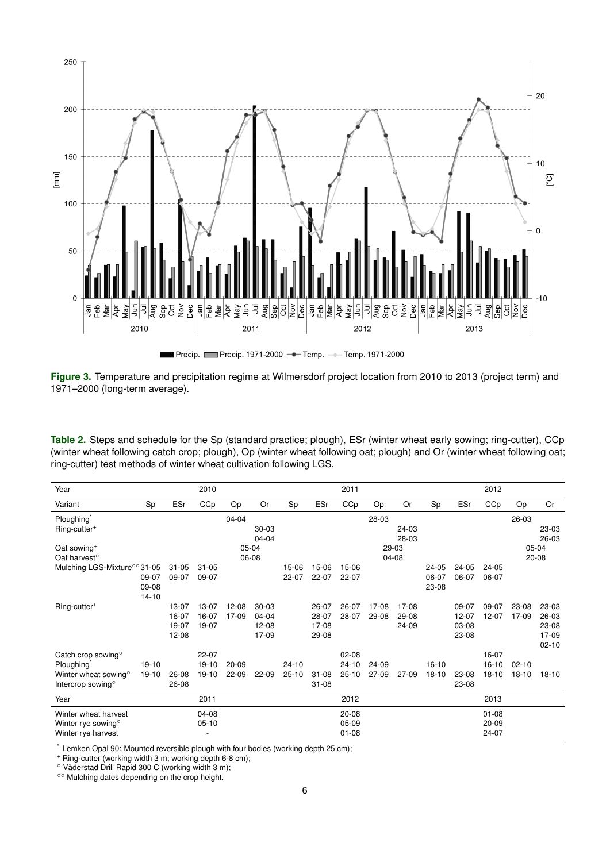<span id="page-5-0"></span>

**Figure 3.** Temperature and precipitation regime at Wilmersdorf project location from 2010 to 2013 (project term) and 1971–2000 (long-term average).

<span id="page-5-1"></span>**Table 2.** Steps and schedule for the Sp (standard practice; plough), ESr (winter wheat early sowing; ring-cutter), CCp (winter wheat following catch crop; plough), Op (winter wheat following oat; plough) and Or (winter wheat following oat; ring-cutter) test methods of winter wheat cultivation following LGS.

| Year                                     |                |           | 2010                     |           |           |           |           | 2011      |       |       |                |       | 2012      |           |           |
|------------------------------------------|----------------|-----------|--------------------------|-----------|-----------|-----------|-----------|-----------|-------|-------|----------------|-------|-----------|-----------|-----------|
| Variant                                  | Sp             | ESr       | CCp                      | Op        | <b>Or</b> | Sp        | ESr       | CCp       | Op    | Or    | Sp             | ESr   | CCp       | Op        | <b>Or</b> |
| Ploughing <sup>®</sup>                   |                |           |                          | 04-04     |           |           |           |           | 28-03 |       |                |       |           | 26-03     |           |
| Ring-cutter <sup>+</sup>                 |                |           |                          |           | $30 - 03$ |           |           |           |       | 24-03 |                |       |           |           | 23-03     |
|                                          |                |           |                          |           | 04-04     |           |           |           |       | 28-03 |                |       |           |           | 26-03     |
| Oat sowing <sup>+</sup>                  |                |           |                          |           | 05-04     |           |           |           |       | 29-03 |                |       |           | $05-04$   |           |
| Oat harvest <sup>o</sup>                 |                |           |                          |           | 06-08     |           |           |           | 04-08 |       |                |       |           | 20-08     |           |
| Mulching LGS-Mixture <sup>oo</sup> 31-05 |                | $31 - 05$ | $31 - 05$                |           |           | 15-06     | 15-06     | 15-06     |       |       | 24-05          | 24-05 | 24-05     |           |           |
|                                          | 09-07<br>09-08 | 09-07     | 09-07                    |           |           | 22-07     | 22-07     | 22-07     |       |       | 06-07<br>23-08 | 06-07 | 06-07     |           |           |
|                                          | $14 - 10$      |           |                          |           |           |           |           |           |       |       |                |       |           |           |           |
| Ring-cutter <sup>+</sup>                 |                | 13-07     | 13-07                    | 12-08     | $30 - 03$ |           | 26-07     | 26-07     | 17-08 | 17-08 |                | 09-07 | 09-07     | 23-08     | 23-03     |
|                                          |                | 16-07     | 16-07                    | 17-09     | 04-04     |           | 28-07     | 28-07     | 29-08 | 29-08 |                | 12-07 | $12 - 07$ | 17-09     | 26-03     |
|                                          |                | 19-07     | 19-07                    |           | 12-08     |           | 17-08     |           |       | 24-09 |                | 03-08 |           |           | 23-08     |
|                                          |                | 12-08     |                          |           | 17-09     |           | 29-08     |           |       |       |                | 23-08 |           |           | 17-09     |
|                                          |                |           |                          |           |           |           |           |           |       |       |                |       |           |           | $02 - 10$ |
| Catch crop sowing $\circ$                |                |           | 22-07                    |           |           |           |           | $02 - 08$ |       |       |                |       | 16-07     |           |           |
| Ploughing <sup>®</sup>                   | 19-10          |           | $19-10$                  | $20 - 09$ |           | $24 - 10$ |           | $24 - 10$ | 24-09 |       | $16 - 10$      |       | $16 - 10$ | $02 - 10$ |           |
| Winter wheat sowing <sup>o</sup>         | $19-10$        | 26-08     | $19-10$                  | 22-09     | 22-09     | $25 - 10$ | $31 - 08$ | $25 - 10$ | 27-09 | 27-09 | $18-10$        | 23-08 | $18 - 10$ | $18 - 10$ | $18-10$   |
| Intercrop sowing <sup>o</sup>            |                | 26-08     |                          |           |           |           | $31 - 08$ |           |       |       |                | 23-08 |           |           |           |
| Year                                     |                |           | 2011                     |           |           |           |           | 2012      |       |       |                |       | 2013      |           |           |
| Winter wheat harvest                     |                |           | $04-08$                  |           |           |           |           | 20-08     |       |       |                |       | $01 - 08$ |           |           |
| Winter rye sowing $\circ$                |                |           | $05-10$                  |           |           |           |           | $05-09$   |       |       |                |       | $20 - 09$ |           |           |
| Winter rye harvest                       |                |           | $\overline{\phantom{a}}$ |           |           |           |           | $01 - 08$ |       |       |                |       | 24-07     |           |           |

Lemken Opal 90: Mounted reversible plough with four bodies (working depth 25 cm);

<sup>+</sup> Ring-cutter (working width 3 m; working depth 6-8 cm);

◦ Vaderstad Drill Rapid 300 C (working width 3 m); ¨

◦◦ Mulching dates depending on the crop height.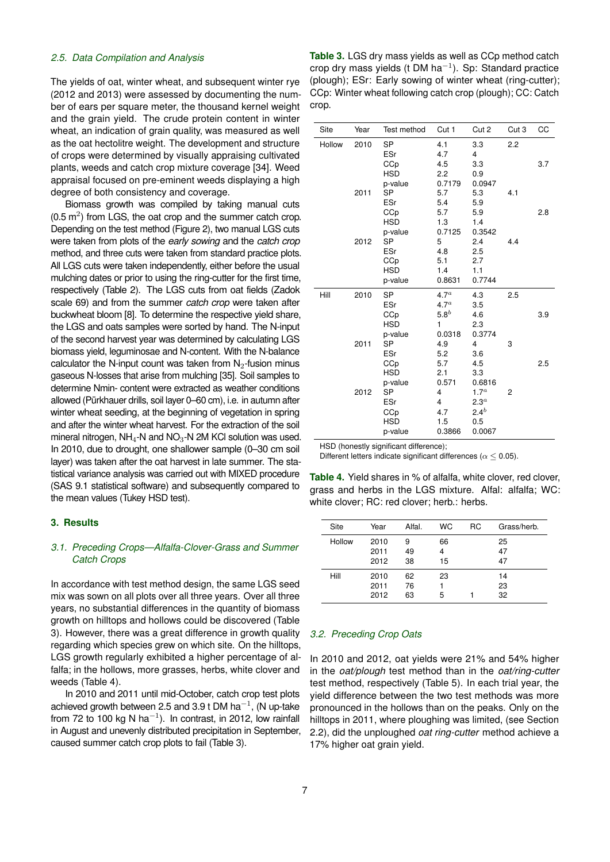#### *2.5. Data Compilation and Analysis*

The yields of oat, winter wheat, and subsequent winter rye (2012 and 2013) were assessed by documenting the number of ears per square meter, the thousand kernel weight and the grain yield. The crude protein content in winter wheat, an indication of grain quality, was measured as well as the oat hectolitre weight. The development and structure of crops were determined by visually appraising cultivated plants, weeds and catch crop mixture coverage [\[34\]](#page-14-25). Weed appraisal focused on pre-eminent weeds displaying a high degree of both consistency and coverage.

Biomass growth was compiled by taking manual cuts  $(0.5 \, \text{m}^2)$  from LGS, the oat crop and the summer catch crop. Depending on the test method (Figure [2\)](#page-2-0), two manual LGS cuts were taken from plots of the *early sowing* and the *catch crop* method, and three cuts were taken from standard practice plots. All LGS cuts were taken independently, either before the usual mulching dates or prior to using the ring-cutter for the first time, respectively (Table [2\)](#page-5-1). The LGS cuts from oat fields (Zadok scale 69) and from the summer *catch crop* were taken after buckwheat bloom [\[8\]](#page-14-0). To determine the respective yield share, the LGS and oats samples were sorted by hand. The N-input of the second harvest year was determined by calculating LGS biomass yield, leguminosae and N-content. With the N-balance calculator the N-input count was taken from  $N_2$ -fusion minus gaseous N-losses that arise from mulching [\[35\]](#page-14-26). Soil samples to determine Nmin- content were extracted as weather conditions allowed (Pürkhauer drills, soil layer 0–60 cm), i.e. in autumn after winter wheat seeding, at the beginning of vegetation in spring and after the winter wheat harvest. For the extraction of the soil mineral nitrogen,  $NH_4$ -N and  $NO_3$ -N 2M KCI solution was used. In 2010, due to drought, one shallower sample (0–30 cm soil layer) was taken after the oat harvest in late summer. The statistical variance analysis was carried out with MIXED procedure (SAS 9.1 statistical software) and subsequently compared to the mean values (Tukey HSD test).

#### **3. Results**

# *3.1. Preceding Crops—Alfalfa-Clover-Grass and Summer Catch Crops*

In accordance with test method design, the same LGS seed mix was sown on all plots over all three years. Over all three years, no substantial differences in the quantity of biomass growth on hilltops and hollows could be discovered (Table [3\)](#page-6-0). However, there was a great difference in growth quality regarding which species grew on which site. On the hilltops, LGS growth regularly exhibited a higher percentage of alfalfa; in the hollows, more grasses, herbs, white clover and weeds (Table [4\)](#page-6-1).

In 2010 and 2011 until mid-October, catch crop test plots achieved growth between 2.5 and 3.9 t DM ha $^{-1}$ , (N up-take from 72 to 100 kg N ha<sup>-1</sup>). In contrast, in 2012, low rainfall in August and unevenly distributed precipitation in September, caused summer catch crop plots to fail (Table [3\)](#page-6-0).

<span id="page-6-0"></span>**Table 3.** LGS dry mass yields as well as CCp method catch crop dry mass yields (t DM ha<sup>-1</sup>). Sp: Standard practice (plough); ESr: Early sowing of winter wheat (ring-cutter); CCp: Winter wheat following catch crop (plough); CC: Catch crop.

| Site   | Year | Test method | Cut 1            | Cut 2            | Cut 3          | CC  |
|--------|------|-------------|------------------|------------------|----------------|-----|
| Hollow | 2010 | <b>SP</b>   | 4.1              | 3.3              | 2.2            |     |
|        |      | ESr         | 4.7              | 4                |                |     |
|        |      | CCp         | 4.5              | 3.3              |                | 3.7 |
|        |      | <b>HSD</b>  | 2.2              | 0.9              |                |     |
|        |      | p-value     | 0.7179           | 0.0947           |                |     |
|        | 2011 | <b>SP</b>   | 5.7              | 5.3              | 4.1            |     |
|        |      | ESr         | 5.4              | 5.9              |                |     |
|        |      | CCp         | 5.7              | 5.9              |                | 2.8 |
|        |      | <b>HSD</b>  | 1.3              | 1.4              |                |     |
|        |      | p-value     | 0.7125           | 0.3542           |                |     |
|        | 2012 | SP          | 5                | 2.4              | 4.4            |     |
|        |      | ESr         | 4.8              | 2.5              |                |     |
|        |      | CCp         | 5.1              | 2.7              |                |     |
|        |      | <b>HSD</b>  | 1.4              | 1.1              |                |     |
|        |      | p-value     | 0.8631           | 0.7744           |                |     |
| Hill   | 2010 | <b>SP</b>   | 4.7 <sup>a</sup> | 4.3              | 2.5            |     |
|        |      | ESr         | 4.7 <sup>a</sup> | 3.5              |                |     |
|        |      | CCp         | 5.8 <sup>b</sup> | 4.6              |                | 3.9 |
|        |      | <b>HSD</b>  | 1                | 2.3              |                |     |
|        |      | p-value     | 0.0318           | 0.3774           |                |     |
|        | 2011 | SP          | 4.9              | 4                | 3              |     |
|        |      | ESr         | 5.2              | 3.6              |                |     |
|        |      | CCp         | 5.7              | 4.5              |                | 2.5 |
|        |      | <b>HSD</b>  | 2.1              | 3.3              |                |     |
|        |      | p-value     | 0.571            | 0.6816           |                |     |
|        | 2012 | SP          | $\overline{4}$   | 1.7 <sup>a</sup> | $\overline{2}$ |     |
|        |      | ESr         | $\overline{4}$   | 2.3 <sup>a</sup> |                |     |
|        |      | CCp         | 4.7              | $2.4^{b}$        |                |     |
|        |      | <b>HSD</b>  | 1.5              | 0.5              |                |     |
|        |      | p-value     | 0.3866           | 0.0067           |                |     |

HSD (honestly significant difference);

<span id="page-6-1"></span>Different letters indicate significant differences ( $\alpha \leq 0.05$ ).

**Table 4.** Yield shares in % of alfalfa, white clover, red clover, grass and herbs in the LGS mixture. Alfal: alfalfa; WC: white clover; RC: red clover; herb.: herbs.

| Site   | Year                 | Alfal.         | <b>WC</b>     | RC | Grass/herb.    |
|--------|----------------------|----------------|---------------|----|----------------|
| Hollow | 2010<br>2011<br>2012 | 9<br>49<br>38  | 66<br>4<br>15 |    | 25<br>47<br>47 |
| Hill   | 2010<br>2011<br>2012 | 62<br>76<br>63 | 23<br>5       |    | 14<br>23<br>32 |

## *3.2. Preceding Crop Oats*

In 2010 and 2012, oat yields were 21% and 54% higher in the *oat/plough* test method than in the *oat/ring-cutter* test method, respectively (Table [5\)](#page-7-0). In each trial year, the yield difference between the two test methods was more pronounced in the hollows than on the peaks. Only on the hilltops in 2011, where ploughing was limited, (see Section 2.2), did the unploughed *oat ring-cutter* method achieve a 17% higher oat grain yield.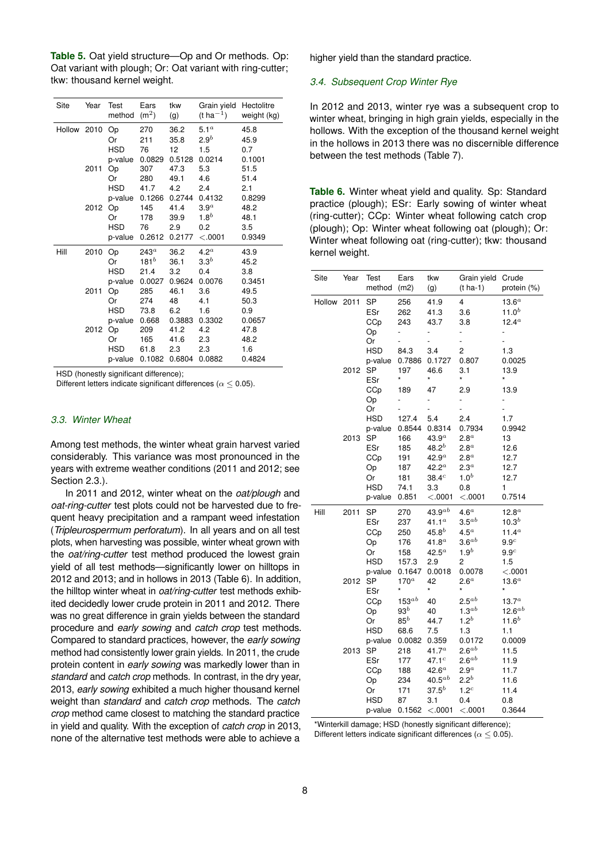<span id="page-7-0"></span>**Table 5.** Oat yield structure—Op and Or methods. Op: Oat variant with plough; Or: Oat variant with ring-cutter; tkw: thousand kernel weight.

| Site        | Year | Test<br>method | Ears<br>(m <sup>2</sup> ) | tkw<br>(g)     | Grain yield<br>$(t \, ha^{-1})$ | Hectolitre<br>weight (kg) |
|-------------|------|----------------|---------------------------|----------------|---------------------------------|---------------------------|
| Hollow 2010 |      | Op<br>Or       | 270<br>211                | 36.2<br>35.8   | 5.1 <sup>a</sup><br>$2.9^b$     | 45.8<br>45.9              |
|             |      | <b>HSD</b>     | 76                        | 12             | 1.5                             | 0.7                       |
|             |      | p-value        | 0.0829                    | 0.5128         | 0.0214                          | 0.1001                    |
|             | 2011 | Op             | 307                       | 47.3           | 5.3                             | 51.5                      |
|             |      | Or             | 280                       | 49.1           | 4.6                             | 51.4                      |
|             |      | <b>HSD</b>     | 41.7                      | 4.2            | 2.4                             | 2.1                       |
|             | 2012 | p-value        | 0.1266<br>145             | 0.2744<br>41.4 | 0.4132<br>3.9 <sup>a</sup>      | 0.8299<br>48.2            |
|             |      | Op<br>Or       | 178                       | 39.9           | $1.8^b$                         | 48.1                      |
|             |      | <b>HSD</b>     | 76                        | 2.9            | 0.2                             | $3.5\,$                   |
|             |      | p-value        | 0.2612                    | 0.2177         | < .0001                         | 0.9349                    |
| Hill        | 2010 | Оp             | $243^a$                   | 36.2           | 4.2 <sup>a</sup>                | 43.9                      |
|             |      | Or             | 181 $^b$                  | 36.1           | $3.3^b$                         | 45.2                      |
|             |      | <b>HSD</b>     | 21.4                      | 3.2            | 0.4                             | 3.8                       |
|             |      | p-value        | 0.0027                    | 0.9624         | 0.0076                          | 0.3451                    |
|             | 2011 | Op             | 285                       | 46.1           | 3.6                             | 49.5                      |
|             |      | Or             | 274                       | 48             | 4.1                             | 50.3                      |
|             |      | <b>HSD</b>     | 73.8                      | 6.2            | 1.6                             | 0.9                       |
|             |      | p-value        | 0.668                     | 0.3883         | 0.3302                          | 0.0657                    |
|             | 2012 | Op             | 209                       | 41.2           | 4.2                             | 47.8                      |
|             |      | Or             | 165                       | 41.6           | 2.3                             | 48.2                      |
|             |      | <b>HSD</b>     | 61.8                      | 2.3            | 2.3                             | 1.6                       |
|             |      | p-value        | 0.1082                    | 0.6804         | 0.0882                          | 0.4824                    |

HSD (honestly significant difference):

Different letters indicate significant differences ( $\alpha \leq 0.05$ ).

# *3.3. Winter Wheat*

Among test methods, the winter wheat grain harvest varied considerably. This variance was most pronounced in the years with extreme weather conditions (2011 and 2012; see Section 2.3.).

In 2011 and 2012, winter wheat on the *oat/plough* and *oat-ring-cutter* test plots could not be harvested due to frequent heavy precipitation and a rampant weed infestation (*Tripleurospermum perforatum*). In all years and on all test plots, when harvesting was possible, winter wheat grown with the *oat/ring-cutter* test method produced the lowest grain yield of all test methods—significantly lower on hilltops in 2012 and 2013; and in hollows in 2013 (Table [6\)](#page-7-1). In addition, the hilltop winter wheat in *oat/ring-cutter* test methods exhibited decidedly lower crude protein in 2011 and 2012. There was no great difference in grain yields between the standard procedure and *early sowing* and *catch crop* test methods. Compared to standard practices, however, the *early sowing* method had consistently lower grain yields. In 2011, the crude protein content in *early sowing* was markedly lower than in *standard* and *catch crop* methods. In contrast, in the dry year, 2013, *early sowing* exhibited a much higher thousand kernel weight than *standard* and *catch crop* methods. The *catch crop* method came closest to matching the standard practice in yield and quality. With the exception of *catch crop* in 2013, none of the alternative test methods were able to achieve a higher yield than the standard practice.

#### *3.4. Subsequent Crop Winter Rye*

In 2012 and 2013, winter rye was a subsequent crop to winter wheat, bringing in high grain yields, especially in the hollows. With the exception of the thousand kernel weight in the hollows in 2013 there was no discernible difference between the test methods (Table [7\)](#page-8-0).

<span id="page-7-1"></span>**Table 6.** Winter wheat yield and quality. Sp: Standard practice (plough); ESr: Early sowing of winter wheat (ring-cutter); CCp: Winter wheat following catch crop (plough); Op: Winter wheat following oat (plough); Or: Winter wheat following oat (ring-cutter); tkw: thousand kernel weight.

| Site   | Year | Test<br>method                                                      | Ears<br>(m2)                                               | tkw<br>(g)                                                                                                                    | Grain yield<br>$(t \text{ ha-1})$                                                                        | Crude<br>protein (%)                                             |
|--------|------|---------------------------------------------------------------------|------------------------------------------------------------|-------------------------------------------------------------------------------------------------------------------------------|----------------------------------------------------------------------------------------------------------|------------------------------------------------------------------|
| Hollow | 2011 | <b>SP</b><br>ESr<br>CCp<br>Op<br>Or<br><b>HSD</b>                   | 256<br>262<br>243                                          | 41.9<br>41.3<br>43.7<br>-<br>3.4                                                                                              | 4<br>3.6<br>3.8<br>-<br>$\overline{\phantom{0}}$<br>$\overline{c}$                                       | $13.6^a$<br>$11.0^{b}$<br>$12.4^a$<br>1.3                        |
|        | 2012 | p-value<br>SP<br>ESr                                                | 84.3<br>0.7886<br>197<br>*                                 | 0.1727<br>46.6<br>*                                                                                                           | 0.807<br>3.1<br>*                                                                                        | 0.0025<br>13.9<br>*                                              |
|        |      | CCp<br>Op<br>Or                                                     | 189                                                        | 47<br>$\overline{a}$<br>$\overline{a}$                                                                                        | 2.9<br>$\overline{a}$<br>-                                                                               | 13.9                                                             |
|        | 2013 | HSD<br>p-value<br><b>SP</b><br>ESr<br>CCp<br>Op<br>Or<br><b>HSD</b> | 127.4<br>0.8544<br>166<br>185<br>191<br>187<br>181<br>74.1 | 5.4<br>0.8314<br>43.9 <sup>a</sup><br>48.2 <sup>b</sup><br>42.9 <sup>a</sup><br>42.2 <sup>a</sup><br>38.4 <sup>c</sup><br>3.3 | 2.4<br>0.7934<br>2.8 <sup>a</sup><br>2.8 <sup>a</sup><br>$2.8^a$<br>2.3 <sup>a</sup><br>$1.0^{b}$<br>0.8 | 1.7<br>0.9942<br>13<br>12.6<br>12.7<br>12.7<br>12.7<br>1         |
| Hill   | 2011 | p-value<br><b>SP</b><br>ESr<br>CCp<br>Оp                            | 0.851<br>270<br>237<br>250<br>176                          | < .0001<br>$43.9^{ab}$<br>$41.1^a$<br>$45.8^{b}$<br>41.8 <sup>a</sup>                                                         | < .0001<br>4.6 <sup>a</sup><br>$3.5^{ab}$<br>$4.5^a$<br>$3.6^{ab}$                                       | 0.7514<br>$12.8^a$<br>$10.3^{b}$<br>$11.4^a$<br>9.9 <sup>c</sup> |
|        | 2012 | Or<br>HSD<br>p-value<br><b>SP</b><br>ESr                            | 158<br>157.3<br>0.1647<br>$170^a$<br>*                     | $42.5^a$<br>2.9<br>0.0018<br>42<br>*                                                                                          | $1.9^{b}$<br>$\overline{c}$<br>0.0078<br>$2.6^a$<br>*                                                    | 9.9 <sup>c</sup><br>1.5<br>< .0001<br>$13.6^a$<br>*              |
|        |      | CCp<br>Op<br>Or<br><b>HSD</b><br>p-value                            | $153^{ab}$<br>$93^b$<br>85 $^b$<br>68.6<br>0.0082          | 40<br>40<br>44.7<br>7.5<br>0.359                                                                                              | $2.5^{ab}$<br>$1.3^{ab}$<br>$1.2^{b}$<br>1.3<br>0.0172                                                   | $13.7^a$<br>12.6 $^{ab}$<br>$11.6^{b}$<br>1.1<br>0.0009          |
|        | 2013 | <b>SP</b><br>ESr<br>CCp<br>Op<br>Or<br><b>HSD</b><br>p-value        | 218<br>177<br>188<br>234<br>171<br>87<br>0.1562            | $41.7^a$<br>47.1 <sup>c</sup><br>42.6 <sup>a</sup><br>$40.5^{ab}$<br>$37.5^{b}$<br>3.1<br>< 0.0001                            | $2.6^{ab}$<br>$2.6^{ab}$<br>$2.9^a$<br>$2.2^b$<br>1.2 <sup>c</sup><br>0.4<br>< 0.0001                    | 11.5<br>11.9<br>11.7<br>11.6<br>11.4<br>0.8<br>0.3644            |

\*Winterkill damage; HSD (honestly significant difference); Different letters indicate significant differences ( $\alpha$  < 0.05).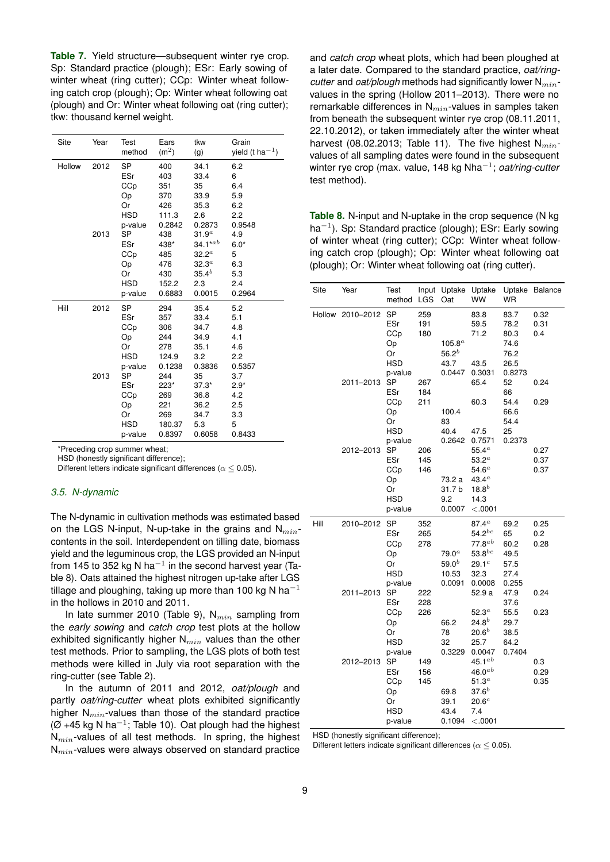<span id="page-8-0"></span>**Table 7.** Yield structure—subsequent winter rye crop. Sp: Standard practice (plough); ESr: Early sowing of winter wheat (ring cutter); CCp: Winter wheat following catch crop (plough); Op: Winter wheat following oat (plough) and Or: Winter wheat following oat (ring cutter); tkw: thousand kernel weight.

| Site   | Year | Test       | Ears              | tkw               | Grain                 |
|--------|------|------------|-------------------|-------------------|-----------------------|
|        |      | method     | (m <sup>2</sup> ) | (g)               | yield (t ha $^{-1}$ ) |
|        |      |            |                   |                   |                       |
| Hollow | 2012 | SP         | 400               | 34.1              | 6.2                   |
|        |      | ESr        | 403               | 33.4              | 6                     |
|        |      | CCp        | 351               | 35                | 6.4                   |
|        |      | Оp         | 370               | 33.9              | 5.9                   |
|        |      | Or         | 426               | 35.3              | 6.2                   |
|        |      | <b>HSD</b> | 111.3             | 2.6               | 2.2                   |
|        |      | p-value    | 0.2842            | 0.2873            | 0.9548                |
|        | 2013 | SP         | 438               | 31.9 <sup>a</sup> | 4.9                   |
|        |      | ESr        | 438*              | $34.1^{*ab}$      | $6.0*$                |
|        |      | CCp        | 485               | $32.2^a$          | 5                     |
|        |      | Op         | 476               | 32.3 <sup>a</sup> | 6.3                   |
|        |      | Or         | 430               | $35.4^{b}$        | 5.3                   |
|        |      | <b>HSD</b> | 152.2             | 2.3               | 2.4                   |
|        |      | p-value    | 0.6883            | 0.0015            | 0.2964                |
| Hill   | 2012 | <b>SP</b>  | 294               | 35.4              | 5.2                   |
|        |      | ESr        | 357               | 33.4              | 5.1                   |
|        |      | CCp        | 306               | 34.7              | 4.8                   |
|        |      | Op         | 244               | 34.9              | 4.1                   |
|        |      | Or         | 278               | 35.1              | 4.6                   |
|        |      | <b>HSD</b> | 124.9             | 3.2               | 2.2                   |
|        |      | p-value    | 0.1238            | 0.3836            | 0.5357                |
|        | 2013 | SP         | 244               | 35                | 3.7                   |
|        |      | ESr        | 223*              | $37.3*$           | $2.9*$                |
|        |      | CCp        | 269               | 36.8              | 4.2                   |
|        |      | Op         | 221               | 36.2              | 2.5                   |
|        |      | Or         | 269               | 34.7              | 3.3                   |
|        |      | <b>HSD</b> | 180.37            | 5.3               | 5                     |
|        |      | p-value    | 0.8397            | 0.6058            | 0.8433                |

\*Preceding crop summer wheat;

HSD (honestly significant difference);

Different letters indicate significant differences ( $\alpha$  < 0.05).

#### *3.5. N-dynamic*

The N-dynamic in cultivation methods was estimated based on the LGS N-input, N-up-take in the grains and  $N_{min}$ contents in the soil. Interdependent on tilling date, biomass yield and the leguminous crop, the LGS provided an N-input from 145 to 352 kg N ha $^{-1}$  in the second harvest year (Table [8\)](#page-8-1). Oats attained the highest nitrogen up-take after LGS tillage and ploughing, taking up more than 100 kg N ha<sup>-1</sup> in the hollows in 2010 and 2011.

In late summer 2010 (Table [9\)](#page-9-0),  $N_{min}$  sampling from the *early sowing* and *catch crop* test plots at the hollow exhibited significantly higher  $N_{min}$  values than the other test methods. Prior to sampling, the LGS plots of both test methods were killed in July via root separation with the ring-cutter (see Table [2\)](#page-5-1).

In the autumn of 2011 and 2012, *oat/plough* and partly *oat/ring-cutter* wheat plots exhibited significantly higher  $N_{min}$ -values than those of the standard practice  $(Ø +45 kg N ha^{-1}$ ; Table [10\)](#page-9-1). Oat plough had the highest  $N_{min}$ -values of all test methods. In spring, the highest  $N_{min}$ -values were always observed on standard practice

and *catch crop* wheat plots, which had been ploughed at a later date. Compared to the standard practice, *oat/ringcutter* and *oat/plough* methods had significantly lower  $N_{min}$ values in the spring (Hollow 2011–2013). There were no remarkable differences in  $N_{min}$ -values in samples taken from beneath the subsequent winter rye crop (08.11.2011, 22.10.2012), or taken immediately after the winter wheat harvest (08.02.2013; Table [11\)](#page-9-2). The five highest  $N_{min}$ values of all sampling dates were found in the subsequent winter rye crop (max. value, 148 kg Nha−<sup>1</sup> ; *oat/ring-cutter* test method).

<span id="page-8-1"></span>**Table 8.** N-input and N-uptake in the crop sequence (N kg ha<sup>-1</sup>). Sp: Standard practice (plough); ESr: Early sowing of winter wheat (ring cutter); CCp: Winter wheat following catch crop (plough); Op: Winter wheat following oat (plough); Or: Winter wheat following oat (ring cutter).

| Site | Year             | Test<br>method                                                          | Input<br>LGS      | Uptake<br>Oat                                    | Uptake<br><b>WW</b>                                                                                   | Uptake<br>WR                                           | <b>Balance</b>       |
|------|------------------|-------------------------------------------------------------------------|-------------------|--------------------------------------------------|-------------------------------------------------------------------------------------------------------|--------------------------------------------------------|----------------------|
|      | Hollow 2010-2012 | <b>SP</b><br>ESr<br>CCp<br>Op<br>Or<br><b>HSD</b><br>p-value            | 259<br>191<br>180 | $105.8^a$<br>$56.2^{b}$<br>43.7<br>0.0447        | 83.8<br>59.5<br>71.2<br>43.5<br>0.3031                                                                | 83.7<br>78.2<br>80.3<br>74.6<br>76.2<br>26.5<br>0.8273 | 0.32<br>0.31<br>0.4  |
|      | 2011-2013        | <b>SP</b><br>ESr<br>CCp<br>Op<br>Or<br><b>HSD</b>                       | 267<br>184<br>211 | 100.4<br>83<br>40.4<br>0.2642                    | 65.4<br>60.3<br>47.5<br>0.7571                                                                        | 52<br>66<br>54.4<br>66.6<br>54.4<br>25<br>0.2373       | 0.24<br>0.29         |
|      | 2012-2013        | p-value<br><b>SP</b><br>ESr<br>CCp<br>Op<br>Or<br><b>HSD</b><br>p-value | 206<br>145<br>146 | 73.2 a<br>31.7 b<br>9.2<br>0.0007                | $55.4^a$<br>53.2 <sup>a</sup><br>54.6 <sup>a</sup><br>43.4 $^a$<br>$18.8^{b}$<br>14.3<br>< .0001      |                                                        | 0.27<br>0.37<br>0.37 |
| Hill | 2010-2012        | SP<br>ESr<br>CCp<br>Op<br>Or<br>HSD<br>p-value                          | 352<br>265<br>278 | 79.0 <sup>a</sup><br>$59.0^b$<br>10.53<br>0.0091 | 87.4 <sup>a</sup><br>$54.2^{bc}$<br>$77.8^{ab}$<br>$53.8^{bc}$<br>29.1 <sup>c</sup><br>32.3<br>0.0008 | 69.2<br>65<br>60.2<br>49.5<br>57.5<br>27.4<br>0.255    | 0.25<br>0.2<br>0.28  |
|      | 2011-2013        | <b>SP</b><br>ESr<br>CCp<br>Op<br>Or<br><b>HSD</b><br>p-value            | 222<br>228<br>226 | 66.2<br>78<br>32<br>0.3229                       | 52.9 a<br>52.3 <sup>a</sup><br>$24.8^{b}$<br>$20.6^{b}$<br>25.7<br>0.0047                             | 47.9<br>37.6<br>55.5<br>29.7<br>38.5<br>64.2<br>0.7404 | 0.24<br>0.23         |
|      | 2012-2013        | SP<br>ESr<br>CCp<br>Op<br>Or<br><b>HSD</b><br>p-value                   | 149<br>156<br>145 | 69.8<br>39.1<br>43.4<br>0.1094                   | 45.1 $^{ab}$<br>$46.0^{ab}$<br>51.3 <sup>a</sup><br>$37.6^{b}$<br>20.6 <sup>c</sup><br>7.4<br>< 0001  |                                                        | 0.3<br>0.29<br>0.35  |

HSD (honestly significant difference);

Different letters indicate significant differences ( $\alpha \leq 0.05$ ).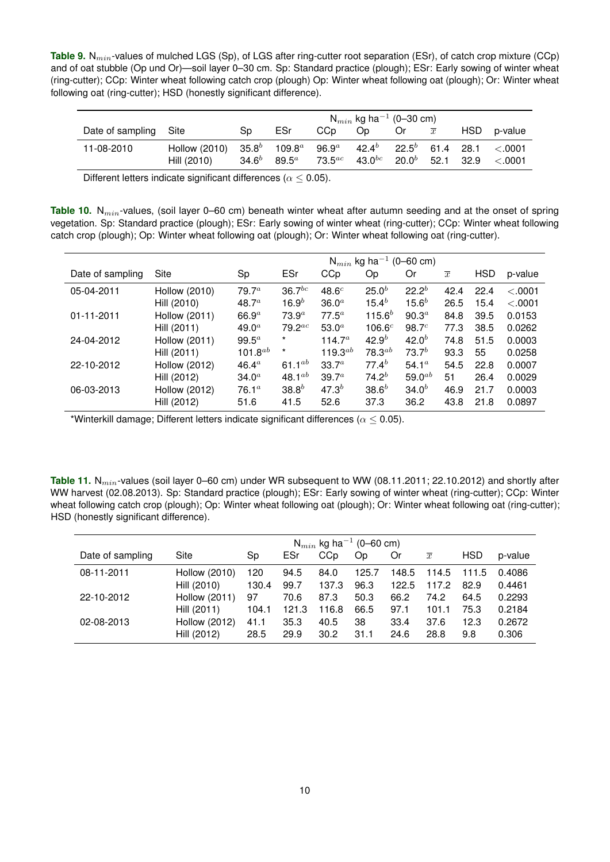<span id="page-9-0"></span>**Table 9.** N<sub>min</sub>-values of mulched LGS (Sp), of LGS after ring-cutter root separation (ESr), of catch crop mixture (CCp) and of oat stubble (Op und Or)—soil layer 0–30 cm. Sp: Standard practice (plough); ESr: Early sowing of winter wheat (ring-cutter); CCp: Winter wheat following catch crop (plough) Op: Winter wheat following oat (plough); Or: Winter wheat following oat (ring-cutter); HSD (honestly significant difference).

|                       |                                                                                                                                 |    |                    | $N_{min}$ kg ha <sup>-1</sup> (0-30 cm) |                |                                                                          |
|-----------------------|---------------------------------------------------------------------------------------------------------------------------------|----|--------------------|-----------------------------------------|----------------|--------------------------------------------------------------------------|
| Date of sampling Site |                                                                                                                                 | Sp | ESr                | CCp Op Or                               | $\overline{x}$ | HSD p-value                                                              |
| 11-08-2010            | Hollow (2010) $35.8^b$ 109.8 <sup>a</sup> 96.9 <sup>a</sup> 42.4 <sup>b</sup> 22.5 <sup>b</sup> 61.4 28.1 <.0001<br>Hill (2010) |    | $34.6^b$ 89.5 $^a$ |                                         |                | 73.5 <sup>ac</sup> 43.0 <sup>bc</sup> 20.0 <sup>b</sup> 52.1 32.9 <.0001 |

Different letters indicate significant differences ( $\alpha \leq 0.05$ ).

<span id="page-9-1"></span>Table 10. N<sub>min</sub>-values, (soil layer 0–60 cm) beneath winter wheat after autumn seeding and at the onset of spring vegetation. Sp: Standard practice (plough); ESr: Early sowing of winter wheat (ring-cutter); CCp: Winter wheat following catch crop (plough); Op: Winter wheat following oat (plough); Or: Winter wheat following oat (ring-cutter).

|                  |                      |                   |                   | $\mathsf{N}_{min}$              | kg ha <sup>-1</sup> (0-60 cm) |                                |                |            |         |
|------------------|----------------------|-------------------|-------------------|---------------------------------|-------------------------------|--------------------------------|----------------|------------|---------|
| Date of sampling | Site                 | Sp                | ESr               | CCp                             | Oр                            | Or                             | $\overline{x}$ | <b>HSD</b> | p-value |
| 05-04-2011       | <b>Hollow (2010)</b> | 79.7 <sup>a</sup> | $36.7^{bc}$       | 48.6 <sup>c</sup>               | 25.0 <sup>b</sup>             | $22.2^b$                       | 42.4           | 22.4       | < 0.001 |
|                  | Hill (2010)          | 48.7 <sup>a</sup> | $16.9^{b}$        | 36.0 <sup>a</sup>               | $15.4^{b}$                    | $15.6^{b}$                     | 26.5           | 15.4       | < .0001 |
| $01 - 11 - 2011$ | Hollow (2011)        | 66.9 <sup>a</sup> | 73.9 <sup>a</sup> | $77.5^a$                        | $115.6^{b}$                   | 90.3 <sup>a</sup>              | 84.8           | 39.5       | 0.0153  |
|                  | Hill (2011)          | 49.0 <sup>a</sup> | $79.2^{ac}$       | 53.0 <sup>a</sup>               | 106.6 <sup>c</sup>            | 98.7 <sup>c</sup>              | 77.3           | 38.5       | 0.0262  |
| 24-04-2012       | Hollow (2011)        | $99.5^a$          | $^\star$          | 114.7 <sup><math>a</math></sup> | $42.9^{b}$                    | $42.0^{b}$                     | 74.8           | 51.5       | 0.0003  |
|                  | Hill (2011)          | $101.8^{ab}$      | $\star$           | 119.3 $^{ab}$                   | $78.3^{ab}$                   | $73.7^{b}$                     | 93.3           | 55         | 0.0258  |
| 22-10-2012       | <b>Hollow (2012)</b> | $46.4^{\circ}$    | 61.1 $^{ab}$      | 33.7 <sup>a</sup>               | $77.4^{b}$                    | 54.1 <sup><math>a</math></sup> | 54.5           | 22.8       | 0.0007  |
|                  | Hill (2012)          | 34.0 <sup>a</sup> | 48.1 $^{ab}$      | 39.7 <sup>a</sup>               | $74.2^{b}$                    | $59.0^{ab}$                    | 51             | 26.4       | 0.0029  |
| 06-03-2013       | <b>Hollow (2012)</b> | 76.1 <sup>a</sup> | $38.8^{b}$        | 47.3 <sup>b</sup>               | $38.6^{b}$                    | 34.0 <sup>b</sup>              | 46.9           | 21.7       | 0.0003  |
|                  | Hill (2012)          | 51.6              | 41.5              | 52.6                            | 37.3                          | 36.2                           | 43.8           | 21.8       | 0.0897  |

\*Winterkill damage; Different letters indicate significant differences ( $\alpha \leq 0.05$ ).

<span id="page-9-2"></span>**Table 11.** N<sub>min</sub>-values (soil layer 0–60 cm) under WR subsequent to WW (08.11.2011; 22.10.2012) and shortly after WW harvest (02.08.2013). Sp: Standard practice (plough); ESr: Early sowing of winter wheat (ring-cutter); CCp: Winter wheat following catch crop (plough); Op: Winter wheat following oat (plough); Or: Winter wheat following oat (ring-cutter); HSD (honestly significant difference).

|                  | $N_{min}$ kg ha <sup>-1</sup> (0-60 cm) |       |       |       |       |       |                |            |         |  |
|------------------|-----------------------------------------|-------|-------|-------|-------|-------|----------------|------------|---------|--|
| Date of sampling | Site                                    | Sp    | ESr   | CCp   | Op    | Or    | $\overline{x}$ | <b>HSD</b> | p-value |  |
| 08-11-2011       | <b>Hollow (2010)</b>                    | 120   | 94.5  | 84.0  | 125.7 | 148.5 | 114.5          | 111.5      | 0.4086  |  |
|                  | Hill (2010)                             | 130.4 | 99.7  | 137.3 | 96.3  | 122.5 | 117.2          | 82.9       | 0.4461  |  |
| 22-10-2012       | Hollow (2011)                           | 97    | 70.6  | 87.3  | 50.3  | 66.2  | 74.2           | 64.5       | 0.2293  |  |
|                  | Hill (2011)                             | 104.1 | 121.3 | 116.8 | 66.5  | 97.1  | 101.1          | 75.3       | 0.2184  |  |
| 02-08-2013       | <b>Hollow (2012)</b>                    | 41.1  | 35.3  | 40.5  | 38    | 33.4  | 37.6           | 12.3       | 0.2672  |  |
|                  | Hill (2012)                             | 28.5  | 29.9  | 30.2  | 31.1  | 24.6  | 28.8           | 9.8        | 0.306   |  |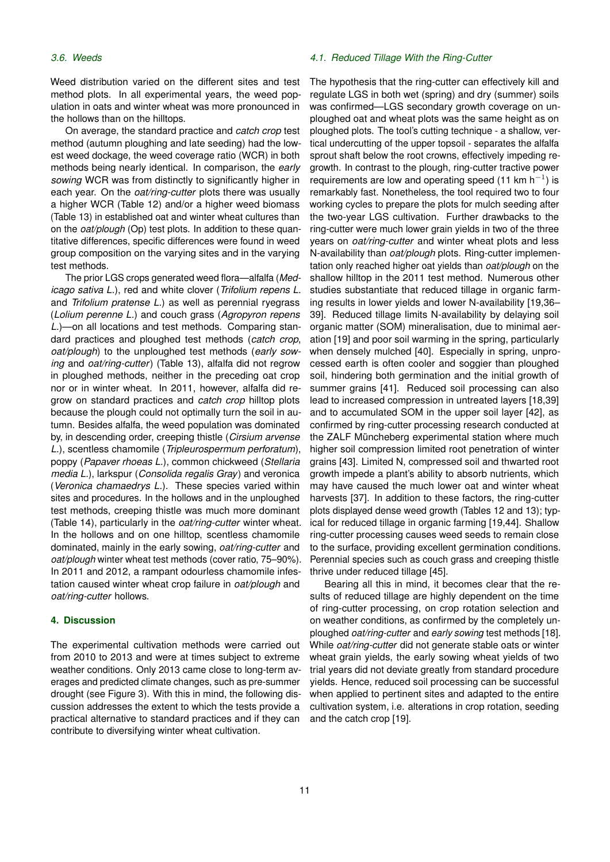Weed distribution varied on the different sites and test method plots. In all experimental years, the weed population in oats and winter wheat was more pronounced in the hollows than on the hilltops.

On average, the standard practice and *catch crop* test method (autumn ploughing and late seeding) had the lowest weed dockage, the weed coverage ratio (WCR) in both methods being nearly identical. In comparison, the *early sowing* WCR was from distinctly to significantly higher in each year. On the *oat/ring-cutter* plots there was usually a higher WCR (Table [12\)](#page-11-0) and/or a higher weed biomass (Table [13\)](#page-11-1) in established oat and winter wheat cultures than on the *oat/plough* (Op) test plots. In addition to these quantitative differences, specific differences were found in weed group composition on the varying sites and in the varying test methods.

The prior LGS crops generated weed flora—alfalfa (*Medicago sativa L.*), red and white clover (*Trifolium repens L.* and *Trifolium pratense L.*) as well as perennial ryegrass (*Lolium perenne L.*) and couch grass (*Agropyron repens L.*)—on all locations and test methods. Comparing standard practices and ploughed test methods (*catch crop*, *oat/plough*) to the unploughed test methods (*early sowing* and *oat/ring-cutter*) (Table [13\)](#page-11-1), alfalfa did not regrow in ploughed methods, neither in the preceding oat crop nor or in winter wheat. In 2011, however, alfalfa did regrow on standard practices and *catch crop* hilltop plots because the plough could not optimally turn the soil in autumn. Besides alfalfa, the weed population was dominated by, in descending order, creeping thistle (*Cirsium arvense L.*), scentless chamomile (*Tripleurospermum perforatum*), poppy (*Papaver rhoeas L.*), common chickweed (*Stellaria media L.*), larkspur (*Consolida regalis Gray*) and veronica (*Veronica chamaedrys L.*). These species varied within sites and procedures. In the hollows and in the unploughed test methods, creeping thistle was much more dominant (Table [14\)](#page-11-2), particularly in the *oat/ring-cutter* winter wheat. In the hollows and on one hilltop, scentless chamomile dominated, mainly in the early sowing, *oat/ring-cutter* and *oat/plough* winter wheat test methods (cover ratio, 75–90%). In 2011 and 2012, a rampant odourless chamomile infestation caused winter wheat crop failure in *oat/plough* and *oat/ring-cutter* hollows.

# **4. Discussion**

The experimental cultivation methods were carried out from 2010 to 2013 and were at times subject to extreme weather conditions. Only 2013 came close to long-term averages and predicted climate changes, such as pre-summer drought (see Figure [3\)](#page-5-0). With this in mind, the following discussion addresses the extent to which the tests provide a practical alternative to standard practices and if they can contribute to diversifying winter wheat cultivation.

#### *4.1. Reduced Tillage With the Ring-Cutter*

The hypothesis that the ring-cutter can effectively kill and regulate LGS in both wet (spring) and dry (summer) soils was confirmed—LGS secondary growth coverage on unploughed oat and wheat plots was the same height as on ploughed plots. The tool's cutting technique - a shallow, vertical undercutting of the upper topsoil - separates the alfalfa sprout shaft below the root crowns, effectively impeding regrowth. In contrast to the plough, ring-cutter tractive power requirements are low and operating speed (11 km  $h^{-1}$ ) is remarkably fast. Nonetheless, the tool required two to four working cycles to prepare the plots for mulch seeding after the two-year LGS cultivation. Further drawbacks to the ring-cutter were much lower grain yields in two of the three years on *oat/ring-cutter* and winter wheat plots and less N-availability than *oat/plough* plots. Ring-cutter implementation only reached higher oat yields than *oat/plough* on the shallow hilltop in the 2011 test method. Numerous other studies substantiate that reduced tillage in organic farming results in lower yields and lower N-availability [\[19,](#page-14-11)[36–](#page-15-1) [39\]](#page-15-2). Reduced tillage limits N-availability by delaying soil organic matter (SOM) mineralisation, due to minimal aeration [\[19\]](#page-14-11) and poor soil warming in the spring, particularly when densely mulched [\[40\]](#page-15-3). Especially in spring, unprocessed earth is often cooler and soggier than ploughed soil, hindering both germination and the initial growth of summer grains [\[41\]](#page-15-4). Reduced soil processing can also lead to increased compression in untreated layers [\[18](#page-14-10)[,39\]](#page-15-2) and to accumulated SOM in the upper soil layer [\[42\]](#page-15-5), as confirmed by ring-cutter processing research conducted at the ZALF Müncheberg experimental station where much higher soil compression limited root penetration of winter grains [\[43\]](#page-15-6). Limited N, compressed soil and thwarted root growth impede a plant's ability to absorb nutrients, which may have caused the much lower oat and winter wheat harvests [\[37\]](#page-15-7). In addition to these factors, the ring-cutter plots displayed dense weed growth (Tables [12](#page-11-0) and [13\)](#page-11-1); typical for reduced tillage in organic farming [\[19,](#page-14-11)[44\]](#page-15-8). Shallow ring-cutter processing causes weed seeds to remain close to the surface, providing excellent germination conditions. Perennial species such as couch grass and creeping thistle thrive under reduced tillage [\[45\]](#page-15-9).

Bearing all this in mind, it becomes clear that the results of reduced tillage are highly dependent on the time of ring-cutter processing, on crop rotation selection and on weather conditions, as confirmed by the completely unploughed *oat/ring-cutter* and *early sowing* test methods [\[18\]](#page-14-10). While *oat/ring-cutter* did not generate stable oats or winter wheat grain yields, the early sowing wheat yields of two trial years did not deviate greatly from standard procedure yields. Hence, reduced soil processing can be successful when applied to pertinent sites and adapted to the entire cultivation system, i.e. alterations in crop rotation, seeding and the catch crop [\[19\]](#page-14-11).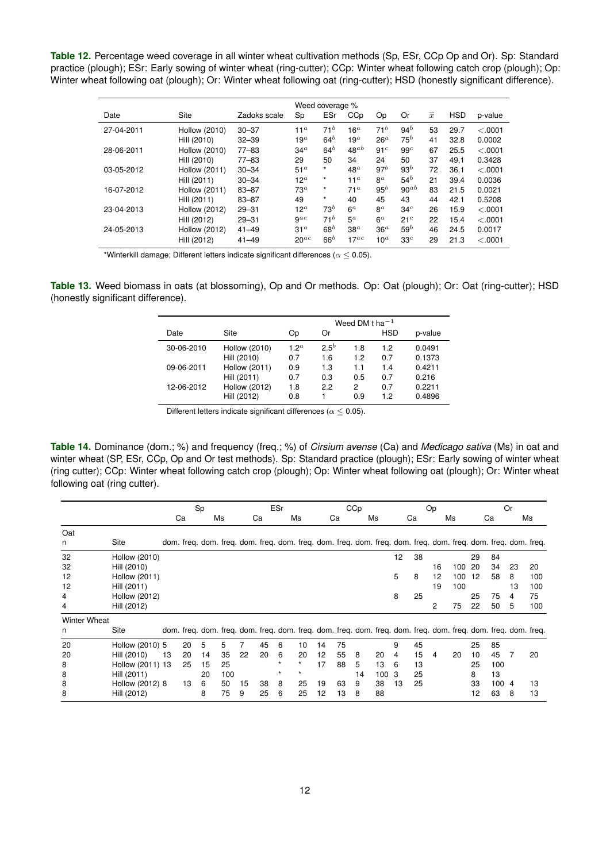<span id="page-11-0"></span>**Table 12.** Percentage weed coverage in all winter wheat cultivation methods (Sp, ESr, CCp Op and Or). Sp: Standard practice (plough); ESr: Early sowing of winter wheat (ring-cutter); CCp: Winter wheat following catch crop (plough); Op: Winter wheat following oat (plough); Or: Winter wheat following oat (ring-cutter); HSD (honestly significant difference).

|            |                      |              | Weed coverage % |                 |                 |                 |                 |                |            |          |
|------------|----------------------|--------------|-----------------|-----------------|-----------------|-----------------|-----------------|----------------|------------|----------|
| Date       | Site                 | Zadoks scale | Sp              | ESr             | CCp             | Op              | Or              | $\overline{x}$ | <b>HSD</b> | p-value  |
| 27-04-2011 | <b>Hollow (2010)</b> | $30 - 37$    | 11 <sup>a</sup> | $71^b$          | 16 <sup>a</sup> | $71^b$          | 94 <sup>b</sup> | 53             | 29.7       | < 0.0001 |
|            | Hill (2010)          | $32 - 39$    | 19 <sup>a</sup> | 64 <sup>b</sup> | 19 <sup>a</sup> | 26 <sup>a</sup> | $75^b$          | 41             | 32.8       | 0.0002   |
| 28-06-2011 | <b>Hollow (2010)</b> | $77 - 83$    | 34 <sup>a</sup> | $64^b$          | $48^{ab}$       | 91 <sup>c</sup> | 99 <sup>c</sup> | 67             | 25.5       | < 0.0001 |
|            | Hill (2010)          | $77 - 83$    | 29              | 50              | 34              | 24              | 50              | 37             | 49.1       | 0.3428   |
| 03-05-2012 | Hollow (2011)        | $30 - 34$    | 51 <sup>a</sup> | $\star$         | $48^a$          | 97 <sup>b</sup> | 93 <sup>b</sup> | 72             | 36.1       | < 0.0001 |
|            | Hill (2011)          | $30 - 34$    | 12 $^a$         | $\star$         | 11 <sup>a</sup> | $8^a$           | $54^b$          | 21             | 39.4       | 0.0036   |
| 16-07-2012 | Hollow (2011)        | $83 - 87$    | $73^a$          | $\star$         | 71 <sup>a</sup> | $95^b$          | $90^{ab}$       | 83             | 21.5       | 0.0021   |
|            | Hill (2011)          | $83 - 87$    | 49              | $\star$         | 40              | 45              | 43              | 44             | 42.1       | 0.5208   |
| 23-04-2013 | <b>Hollow (2012)</b> | $29 - 31$    | $12^a$          | $73^b$          | 6 <sup>a</sup>  | $8^a$           | 34 <sup>c</sup> | 26             | 15.9       | < 0.0001 |
|            | Hill (2012)          | $29 - 31$    | $9^{ac}$        | 71 <sup>b</sup> | $5^a$           | 6 <sup>a</sup>  | 21 <sup>c</sup> | 22             | 15.4       | < 0.0001 |
| 24-05-2013 | <b>Hollow (2012)</b> | $41 - 49$    | 31 <sup>a</sup> | 68 <sup>b</sup> | $38^a$          | 36 <sup>a</sup> | $59^b$          | 46             | 24.5       | 0.0017   |
|            | Hill (2012)          | $41 - 49$    | $20^{ac}$       | 66 <sup>b</sup> | $17^{ac}$       | 10 <sup>a</sup> | 33 <sup>c</sup> | 29             | 21.3       | < 0.0001 |

\*Winterkill damage; Different letters indicate significant differences ( $\alpha \leq 0.05$ ).

<span id="page-11-1"></span>**Table 13.** Weed biomass in oats (at blossoming), Op and Or methods. Op: Oat (plough); Or: Oat (ring-cutter); HSD (honestly significant difference).

|            |                      | Weed DM t ha $^{-1}$ |           |     |            |         |  |  |  |  |  |  |
|------------|----------------------|----------------------|-----------|-----|------------|---------|--|--|--|--|--|--|
| Date       | Site                 | Op                   | Or        |     | <b>HSD</b> | p-value |  |  |  |  |  |  |
| 30-06-2010 | <b>Hollow (2010)</b> | 1.2 <sup>a</sup>     | $2.5^{b}$ | 1.8 | 1.2        | 0.0491  |  |  |  |  |  |  |
|            | Hill (2010)          | 0.7                  | 1.6       | 1.2 | 0.7        | 0.1373  |  |  |  |  |  |  |
| 09-06-2011 | Hollow (2011)        | 0.9                  | 1.3       | 1.1 | 1.4        | 0.4211  |  |  |  |  |  |  |
|            | Hill (2011)          | 0.7                  | 0.3       | 0.5 | 0.7        | 0.216   |  |  |  |  |  |  |
| 12-06-2012 | <b>Hollow (2012)</b> | 1.8                  | 2.2       | 2   | 0.7        | 0.2211  |  |  |  |  |  |  |
|            | Hill (2012)          | 0.8                  |           | 0.9 | 1.2        | 0.4896  |  |  |  |  |  |  |

Different letters indicate significant differences ( $\alpha \leq 0.05$ ).

<span id="page-11-2"></span>**Table 14.** Dominance (dom.; %) and frequency (freq.; %) of *Cirsium avense* (Ca) and *Medicago sativa* (Ms) in oat and winter wheat (SP, ESr, CCp, Op and Or test methods). Sp: Standard practice (plough); ESr: Early sowing of winter wheat (ring cutter); CCp: Winter wheat following catch crop (plough); Op: Winter wheat following oat (plough); Or: Winter wheat following oat (ring cutter).

|                     |                      | Sp       |    |          | ESr |                                                                                                               |          |         | CCp     |    |    |    | Op   |    |    |    | <b>Or</b> |    |     |    |     |
|---------------------|----------------------|----------|----|----------|-----|---------------------------------------------------------------------------------------------------------------|----------|---------|---------|----|----|----|------|----|----|----|-----------|----|-----|----|-----|
|                     |                      | Ms<br>Ca |    | Ca<br>Ms |     |                                                                                                               | Ms<br>Ca |         |         | Ca |    | Ms |      | Ca |    | Ms |           |    |     |    |     |
| Oat                 |                      |          |    |          |     |                                                                                                               |          |         |         |    |    |    |      |    |    |    |           |    |     |    |     |
| n                   | Site                 |          |    |          |     | dom. freg. dom. freg. dom. freg. dom. freg. dom. freg. dom. freg. dom. freg. dom. freg. dom. freg. dom. freg. |          |         |         |    |    |    |      |    |    |    |           |    |     |    |     |
| 32                  | <b>Hollow (2010)</b> |          |    |          |     |                                                                                                               |          |         |         |    |    |    |      | 12 | 38 |    |           | 29 | 84  |    |     |
| 32                  | Hill (2010)          |          |    |          |     |                                                                                                               |          |         |         |    |    |    |      |    |    | 16 | 100       | 20 | 34  | 23 | 20  |
| 12                  | Hollow (2011)        |          |    |          |     |                                                                                                               |          |         |         |    |    |    |      | 5  | 8  | 12 | 100       | 12 | 58  | 8  | 100 |
| 12                  | Hill (2011)          |          |    |          |     |                                                                                                               |          |         |         |    |    |    |      |    |    | 19 | 100       |    |     | 13 | 100 |
| 4                   | <b>Hollow (2012)</b> |          |    |          |     |                                                                                                               |          |         |         |    |    |    |      | 8  | 25 |    |           | 25 | 75  | 4  | 75  |
| 4                   | Hill (2012)          |          |    |          |     |                                                                                                               |          |         |         |    |    |    |      |    |    | 2  | 75        | 22 | 50  | 5  | 100 |
| <b>Winter Wheat</b> |                      |          |    |          |     |                                                                                                               |          |         |         |    |    |    |      |    |    |    |           |    |     |    |     |
| n                   | Site                 |          |    |          |     | dom. freq. dom. freq. dom. freq. dom. freq. dom. freq. dom. freq. dom. freq. dom. freq. dom. freq. dom. freq. |          |         |         |    |    |    |      |    |    |    |           |    |     |    |     |
| 20                  | Hollow (2010) 5      |          | 20 | 5        | 5   | 7                                                                                                             | 45       | 6       | 10      | 14 | 75 |    |      | 9  | 45 |    |           | 25 | 85  |    |     |
| 20                  | Hill (2010)          | 13       | 20 | 14       | 35  | 22                                                                                                            | 20       | 6       | 20      | 12 | 55 | 8  | 20   | 4  | 15 | 4  | 20        | 10 | 45  | 7  | 20  |
| 8                   | Hollow (2011) 13     |          | 25 | 15       | 25  |                                                                                                               |          | $\star$ | $\star$ | 17 | 88 | 5  | 13   | 6  | 13 |    |           | 25 | 100 |    |     |
| 8                   | Hill (2011)          |          |    | 20       | 100 |                                                                                                               |          | $\star$ | $\star$ |    |    | 14 | 1003 |    | 25 |    |           | 8  | 13  |    |     |
| 8                   | Hollow (2012) 8      |          | 13 | 6        | 50  | 15                                                                                                            | 38       | 8       | 25      | 19 | 63 | 9  | 38   | 13 | 25 |    |           | 33 | 100 | 4  | 13  |
| 8                   | Hill (2012)          |          |    | 8        | 75  | 9                                                                                                             | 25       | 6       | 25      | 12 | 13 | 8  | 88   |    |    |    |           | 12 | 63  | 8  | 13  |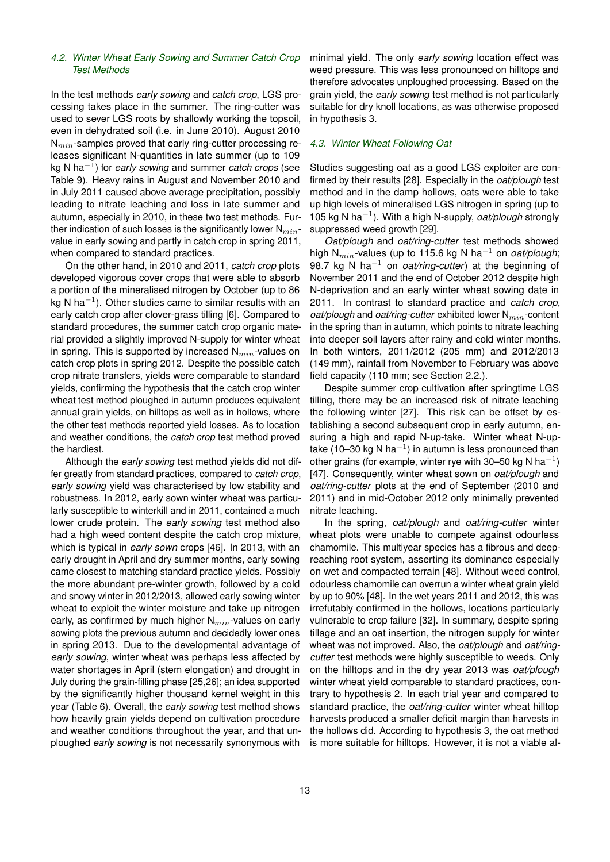# *4.2. Winter Wheat Early Sowing and Summer Catch Crop Test Methods*

In the test methods *early sowing* and *catch crop*, LGS processing takes place in the summer. The ring-cutter was used to sever LGS roots by shallowly working the topsoil, even in dehydrated soil (i.e. in June 2010). August 2010  $N_{min}$ -samples proved that early ring-cutter processing releases significant N-quantities in late summer (up to 109 kg N ha−<sup>1</sup> ) for *early sowing* and summer *catch crops* (see Table 9). Heavy rains in August and November 2010 and in July 2011 caused above average precipitation, possibly leading to nitrate leaching and loss in late summer and autumn, especially in 2010, in these two test methods. Further indication of such losses is the significantly lower  $N_{min}$ value in early sowing and partly in catch crop in spring 2011, when compared to standard practices.

On the other hand, in 2010 and 2011, *catch crop* plots developed vigorous cover crops that were able to absorb a portion of the mineralised nitrogen by October (up to 86 kg N ha $^{-1}$ ). Other studies came to similar results with an early catch crop after clover-grass tilling [\[6\]](#page-13-5). Compared to standard procedures, the summer catch crop organic material provided a slightly improved N-supply for winter wheat in spring. This is supported by increased  $N_{min}$ -values on catch crop plots in spring 2012. Despite the possible catch crop nitrate transfers, yields were comparable to standard yields, confirming the hypothesis that the catch crop winter wheat test method ploughed in autumn produces equivalent annual grain yields, on hilltops as well as in hollows, where the other test methods reported yield losses. As to location and weather conditions, the *catch crop* test method proved the hardiest.

Although the *early sowing* test method yields did not differ greatly from standard practices, compared to *catch crop*, *early sowing* yield was characterised by low stability and robustness. In 2012, early sown winter wheat was particularly susceptible to winterkill and in 2011, contained a much lower crude protein. The *early sowing* test method also had a high weed content despite the catch crop mixture, which is typical in *early sown* crops [\[46\]](#page-15-10). In 2013, with an early drought in April and dry summer months, early sowing came closest to matching standard practice yields. Possibly the more abundant pre-winter growth, followed by a cold and snowy winter in 2012/2013, allowed early sowing winter wheat to exploit the winter moisture and take up nitrogen early, as confirmed by much higher  $N_{min}$ -values on early sowing plots the previous autumn and decidedly lower ones in spring 2013. Due to the developmental advantage of *early sowing*, winter wheat was perhaps less affected by water shortages in April (stem elongation) and drought in July during the grain-filling phase [\[25](#page-14-16)[,26\]](#page-14-17); an idea supported by the significantly higher thousand kernel weight in this year (Table [6\)](#page-7-1). Overall, the *early sowing* test method shows how heavily grain yields depend on cultivation procedure and weather conditions throughout the year, and that unploughed *early sowing* is not necessarily synonymous with minimal yield. The only *early sowing* location effect was weed pressure. This was less pronounced on hilltops and therefore advocates unploughed processing. Based on the grain yield, the *early sowing* test method is not particularly suitable for dry knoll locations, as was otherwise proposed in hypothesis 3.

#### *4.3. Winter Wheat Following Oat*

Studies suggesting oat as a good LGS exploiter are confirmed by their results [\[28\]](#page-14-19). Especially in the *oat/plough* test method and in the damp hollows, oats were able to take up high levels of mineralised LGS nitrogen in spring (up to 105 kg N ha−<sup>1</sup> ). With a high N-supply, *oat/plough* strongly suppressed weed growth [\[29\]](#page-14-20).

*Oat/plough* and *oat/ring-cutter* test methods showed high N<sub>min</sub>-values (up to 115.6 kg N ha<sup>-1</sup> on *oat/plough*; 98.7 kg N ha<sup>-1</sup> on *oat/ring-cutter*) at the beginning of November 2011 and the end of October 2012 despite high N-deprivation and an early winter wheat sowing date in 2011. In contrast to standard practice and *catch crop*, *oat/plough* and *oat/ring-cutter* exhibited lower N<sub>min</sub>-content in the spring than in autumn, which points to nitrate leaching into deeper soil layers after rainy and cold winter months. In both winters, 2011/2012 (205 mm) and 2012/2013 (149 mm), rainfall from November to February was above field capacity (110 mm; see Section 2.2.).

Despite summer crop cultivation after springtime LGS tilling, there may be an increased risk of nitrate leaching the following winter [\[27\]](#page-14-18). This risk can be offset by establishing a second subsequent crop in early autumn, ensuring a high and rapid N-up-take. Winter wheat N-uptake (10–30 kg N ha $^{-1}$ ) in autumn is less pronounced than other grains (for example, winter rye with 30–50 kg N ha<sup>-1</sup>) [\[47\]](#page-15-11). Consequently, winter wheat sown on *oat/plough* and *oat/ring-cutter* plots at the end of September (2010 and 2011) and in mid-October 2012 only minimally prevented nitrate leaching.

In the spring, *oat/plough* and *oat/ring-cutter* winter wheat plots were unable to compete against odourless chamomile. This multiyear species has a fibrous and deepreaching root system, asserting its dominance especially on wet and compacted terrain [\[48\]](#page-15-12). Without weed control, odourless chamomile can overrun a winter wheat grain yield by up to 90% [\[48\]](#page-15-12). In the wet years 2011 and 2012, this was irrefutably confirmed in the hollows, locations particularly vulnerable to crop failure [\[32\]](#page-14-23). In summary, despite spring tillage and an oat insertion, the nitrogen supply for winter wheat was not improved. Also, the *oat/plough* and *oat/ringcutter* test methods were highly susceptible to weeds. Only on the hilltops and in the dry year 2013 was *oat/plough* winter wheat yield comparable to standard practices, contrary to hypothesis 2. In each trial year and compared to standard practice, the *oat/ring-cutter* winter wheat hilltop harvests produced a smaller deficit margin than harvests in the hollows did. According to hypothesis 3, the oat method is more suitable for hilltops. However, it is not a viable al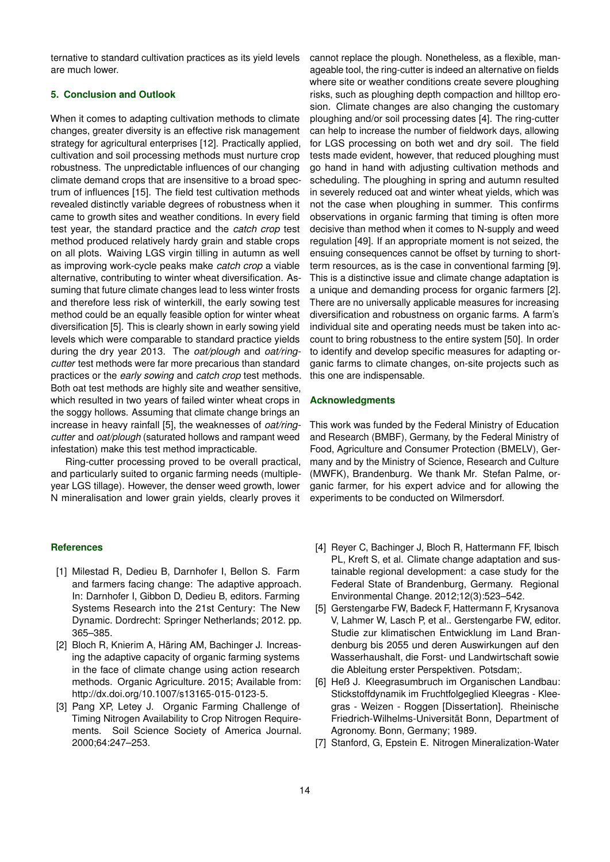ternative to standard cultivation practices as its yield levels are much lower.

# **5. Conclusion and Outlook**

When it comes to adapting cultivation methods to climate changes, greater diversity is an effective risk management strategy for agricultural enterprises [\[12\]](#page-14-4). Practically applied, cultivation and soil processing methods must nurture crop robustness. The unpredictable influences of our changing climate demand crops that are insensitive to a broad spectrum of influences [\[15\]](#page-14-7). The field test cultivation methods revealed distinctly variable degrees of robustness when it came to growth sites and weather conditions. In every field test year, the standard practice and the *catch crop* test method produced relatively hardy grain and stable crops on all plots. Waiving LGS virgin tilling in autumn as well as improving work-cycle peaks make *catch crop* a viable alternative, contributing to winter wheat diversification. Assuming that future climate changes lead to less winter frosts and therefore less risk of winterkill, the early sowing test method could be an equally feasible option for winter wheat diversification [\[5\]](#page-13-4). This is clearly shown in early sowing yield levels which were comparable to standard practice yields during the dry year 2013. The *oat/plough* and *oat/ringcutter* test methods were far more precarious than standard practices or the *early sowing* and *catch crop* test methods. Both oat test methods are highly site and weather sensitive, which resulted in two years of failed winter wheat crops in the soggy hollows. Assuming that climate change brings an increase in heavy rainfall [\[5\]](#page-13-4), the weaknesses of *oat/ringcutter* and *oat/plough* (saturated hollows and rampant weed infestation) make this test method impracticable.

Ring-cutter processing proved to be overall practical, and particularly suited to organic farming needs (multipleyear LGS tillage). However, the denser weed growth, lower N mineralisation and lower grain yields, clearly proves it

#### **References**

- <span id="page-13-0"></span>[1] Milestad R, Dedieu B, Darnhofer I, Bellon S. Farm and farmers facing change: The adaptive approach. In: Darnhofer I, Gibbon D, Dedieu B, editors. Farming Systems Research into the 21st Century: The New Dynamic. Dordrecht: Springer Netherlands; 2012. pp. 365–385.
- <span id="page-13-1"></span>[2] Bloch R, Knierim A, Häring AM, Bachinger J. Increasing the adaptive capacity of organic farming systems in the face of climate change using action research methods. Organic Agriculture. 2015; Available from: [http://dx.doi.org/10.1007/s13165-015-0123-5.](http://dx.doi.org/10.1007/s13165-015-0123-5)
- <span id="page-13-2"></span>[3] Pang XP, Letey J. Organic Farming Challenge of Timing Nitrogen Availability to Crop Nitrogen Requirements. Soil Science Society of America Journal. 2000;64:247–253.

cannot replace the plough. Nonetheless, as a flexible, manageable tool, the ring-cutter is indeed an alternative on fields where site or weather conditions create severe ploughing risks, such as ploughing depth compaction and hilltop erosion. Climate changes are also changing the customary ploughing and/or soil processing dates [\[4\]](#page-13-3). The ring-cutter can help to increase the number of fieldwork days, allowing for LGS processing on both wet and dry soil. The field tests made evident, however, that reduced ploughing must go hand in hand with adjusting cultivation methods and scheduling. The ploughing in spring and autumn resulted in severely reduced oat and winter wheat yields, which was not the case when ploughing in summer. This confirms observations in organic farming that timing is often more decisive than method when it comes to N-supply and weed regulation [\[49\]](#page-15-13). If an appropriate moment is not seized, the ensuing consequences cannot be offset by turning to shortterm resources, as is the case in conventional farming [\[9\]](#page-14-1). This is a distinctive issue and climate change adaptation is a unique and demanding process for organic farmers [\[2\]](#page-13-1). There are no universally applicable measures for increasing diversification and robustness on organic farms. A farm's individual site and operating needs must be taken into account to bring robustness to the entire system [\[50\]](#page-15-14). In order to identify and develop specific measures for adapting organic farms to climate changes, on-site projects such as this one are indispensable.

#### **Acknowledgments**

This work was funded by the Federal Ministry of Education and Research (BMBF), Germany, by the Federal Ministry of Food, Agriculture and Consumer Protection (BMELV), Germany and by the Ministry of Science, Research and Culture (MWFK), Brandenburg. We thank Mr. Stefan Palme, organic farmer, for his expert advice and for allowing the experiments to be conducted on Wilmersdorf.

- <span id="page-13-3"></span>[4] Reyer C, Bachinger J, Bloch R, Hattermann FF, Ibisch PL, Kreft S, et al. Climate change adaptation and sustainable regional development: a case study for the Federal State of Brandenburg, Germany. Regional Environmental Change. 2012;12(3):523–542.
- <span id="page-13-4"></span>[5] Gerstengarbe FW, Badeck F, Hattermann F, Krysanova V, Lahmer W, Lasch P, et al.. Gerstengarbe FW, editor. Studie zur klimatischen Entwicklung im Land Brandenburg bis 2055 und deren Auswirkungen auf den Wasserhaushalt, die Forst- und Landwirtschaft sowie die Ableitung erster Perspektiven. Potsdam;.
- <span id="page-13-5"></span>[6] Heß J. Kleegrasumbruch im Organischen Landbau: Stickstoffdynamik im Fruchtfolgeglied Kleegras - Kleegras - Weizen - Roggen [Dissertation]. Rheinische Friedrich-Wilhelms-Universitat Bonn, Department of ¨ Agronomy. Bonn, Germany; 1989.
- <span id="page-13-6"></span>[7] Stanford, G, Epstein E. Nitrogen Mineralization-Water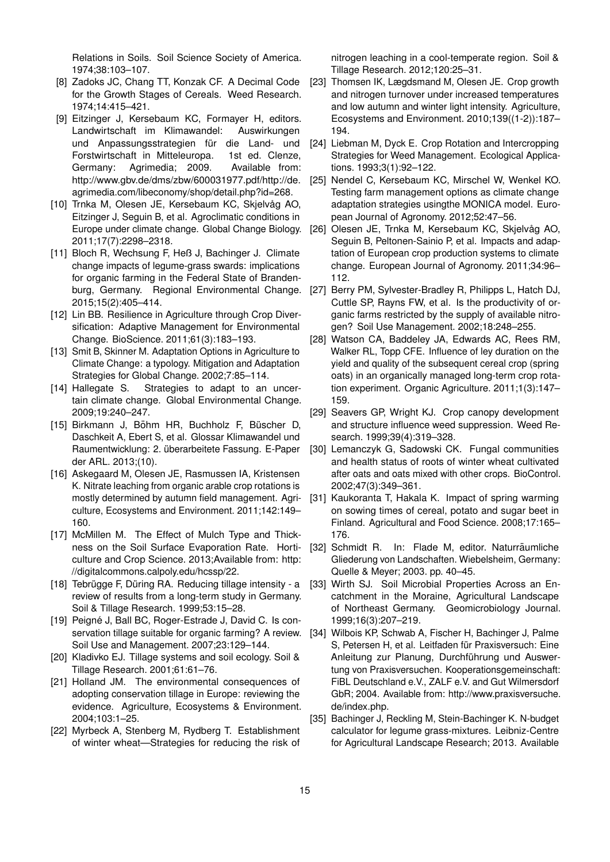Relations in Soils. Soil Science Society of America. 1974;38:103–107.

- <span id="page-14-0"></span>[8] Zadoks JC, Chang TT, Konzak CF. A Decimal Code for the Growth Stages of Cereals. Weed Research. 1974;14:415–421.
- <span id="page-14-1"></span>[9] Eitzinger J, Kersebaum KC, Formayer H, editors. Landwirtschaft im Klimawandel: Auswirkungen und Anpassungsstrategien für die Land- und Forstwirtschaft in Mitteleuropa. 1st ed. Clenze, Germany: Agrimedia; 2009. Available from: [http://www.gbv.de/dms/zbw/600031977.pdf/http://de.](http://www.gbv.de/dms/zbw/600031977.pdf / http://de.agrimedia.com/libeconomy/shop/detail.php?id=268) [agrimedia.com/libeconomy/shop/detail.php?id=268.](http://www.gbv.de/dms/zbw/600031977.pdf / http://de.agrimedia.com/libeconomy/shop/detail.php?id=268)
- <span id="page-14-2"></span>[10] Trnka M, Olesen JE, Kersebaum KC, Skjelvåg AO, Eitzinger J, Seguin B, et al. Agroclimatic conditions in Europe under climate change. Global Change Biology. 2011;17(7):2298–2318.
- <span id="page-14-3"></span>[11] Bloch R, Wechsung F, Heß J, Bachinger J. Climate change impacts of legume-grass swards: implications for organic farming in the Federal State of Brandenburg, Germany. Regional Environmental Change. 2015;15(2):405–414.
- <span id="page-14-4"></span>[12] Lin BB. Resilience in Agriculture through Crop Diversification: Adaptive Management for Environmental Change. BioScience. 2011;61(3):183–193.
- <span id="page-14-5"></span>[13] Smit B, Skinner M. Adaptation Options in Agriculture to Climate Change: a typology. Mitigation and Adaptation Strategies for Global Change. 2002;7:85–114.
- <span id="page-14-6"></span>[14] Hallegate S. Strategies to adapt to an uncertain climate change. Global Environmental Change. 2009;19:240–247.
- <span id="page-14-7"></span>[15] Birkmann J, Böhm HR, Buchholz F, Büscher D, Daschkeit A, Ebert S, et al. Glossar Klimawandel und Raumentwicklung: 2. überarbeitete Fassung. E-Paper der ARL. 2013;(10).
- <span id="page-14-8"></span>[16] Askegaard M, Olesen JE, Rasmussen IA, Kristensen K. Nitrate leaching from organic arable crop rotations is mostly determined by autumn field management. Agriculture, Ecosystems and Environment. 2011;142:149– 160.
- <span id="page-14-9"></span>[17] McMillen M. The Effect of Mulch Type and Thickness on the Soil Surface Evaporation Rate. Horticulture and Crop Science. 2013;Available from: [http:](http://digitalcommons.calpoly.edu/hcssp/22) [//digitalcommons.calpoly.edu/hcssp/22.](http://digitalcommons.calpoly.edu/hcssp/22)
- <span id="page-14-10"></span>[18] Tebrügge F, Düring RA. Reducing tillage intensity - a review of results from a long-term study in Germany. Soil & Tillage Research. 1999;53:15–28.
- <span id="page-14-11"></span>[19] Peigné J, Ball BC, Roger-Estrade J, David C. Is conservation tillage suitable for organic farming? A review. Soil Use and Management. 2007;23:129–144.
- [20] Kladivko EJ. Tillage systems and soil ecology. Soil & Tillage Research. 2001;61:61–76.
- <span id="page-14-12"></span>[21] Holland JM. The environmental consequences of adopting conservation tillage in Europe: reviewing the evidence. Agriculture, Ecosystems & Environment. 2004;103:1–25.
- <span id="page-14-13"></span>[22] Myrbeck A, Stenberg M, Rydberg T. Establishment of winter wheat—Strategies for reducing the risk of

nitrogen leaching in a cool-temperate region. Soil & Tillage Research. 2012;120:25–31.

- <span id="page-14-14"></span>[23] Thomsen IK, Lægdsmand M, Olesen JE. Crop growth and nitrogen turnover under increased temperatures and low autumn and winter light intensity. Agriculture, Ecosystems and Environment. 2010;139((1-2)):187– 194.
- <span id="page-14-15"></span>[24] Liebman M, Dyck E. Crop Rotation and Intercropping Strategies for Weed Management. Ecological Applications. 1993;3(1):92–122.
- <span id="page-14-16"></span>[25] Nendel C, Kersebaum KC, Mirschel W, Wenkel KO. Testing farm management options as climate change adaptation strategies usingthe MONICA model. European Journal of Agronomy. 2012;52:47–56.
- <span id="page-14-17"></span>[26] Olesen JE, Trnka M, Kersebaum KC, Skjelvåg AO, Seguin B, Peltonen-Sainio P, et al. Impacts and adaptation of European crop production systems to climate change. European Journal of Agronomy. 2011;34:96– 112.
- <span id="page-14-18"></span>[27] Berry PM, Sylvester-Bradley R, Philipps L, Hatch DJ, Cuttle SP, Rayns FW, et al. Is the productivity of organic farms restricted by the supply of available nitrogen? Soil Use Management. 2002;18:248–255.
- <span id="page-14-19"></span>[28] Watson CA, Baddeley JA, Edwards AC, Rees RM, Walker RL, Topp CFE. Influence of ley duration on the yield and quality of the subsequent cereal crop (spring oats) in an organically managed long-term crop rotation experiment. Organic Agriculture. 2011;1(3):147– 159.
- <span id="page-14-20"></span>[29] Seavers GP, Wright KJ. Crop canopy development and structure influence weed suppression. Weed Research. 1999;39(4):319–328.
- <span id="page-14-21"></span>[30] Lemanczyk G, Sadowski CK. Fungal communities and health status of roots of winter wheat cultivated after oats and oats mixed with other crops. BioControl. 2002;47(3):349–361.
- <span id="page-14-22"></span>[31] Kaukoranta T, Hakala K. Impact of spring warming on sowing times of cereal, potato and sugar beet in Finland. Agricultural and Food Science. 2008;17:165– 176.
- <span id="page-14-23"></span>[32] Schmidt R. In: Flade M, editor. Naturräumliche Gliederung von Landschaften. Wiebelsheim, Germany: Quelle & Meyer; 2003. pp. 40–45.
- <span id="page-14-24"></span>[33] Wirth SJ. Soil Microbial Properties Across an Encatchment in the Moraine, Agricultural Landscape of Northeast Germany. Geomicrobiology Journal. 1999;16(3):207–219.
- <span id="page-14-25"></span>[34] Wilbois KP, Schwab A, Fischer H, Bachinger J, Palme S, Petersen H, et al. Leitfaden für Praxisversuch: Eine Anleitung zur Planung, Durchführung und Auswertung von Praxisversuchen. Kooperationsgemeinschaft: FiBL Deutschland e.V., ZALF e.V. and Gut Wilmersdorf GbR; 2004. Available from: [http://www.praxisversuche.](http://www.praxisversuche.de/index.php) [de/index.php.](http://www.praxisversuche.de/index.php)
- <span id="page-14-26"></span>[35] Bachinger J, Reckling M, Stein-Bachinger K. N-budget calculator for legume grass-mixtures. Leibniz-Centre for Agricultural Landscape Research; 2013. Available